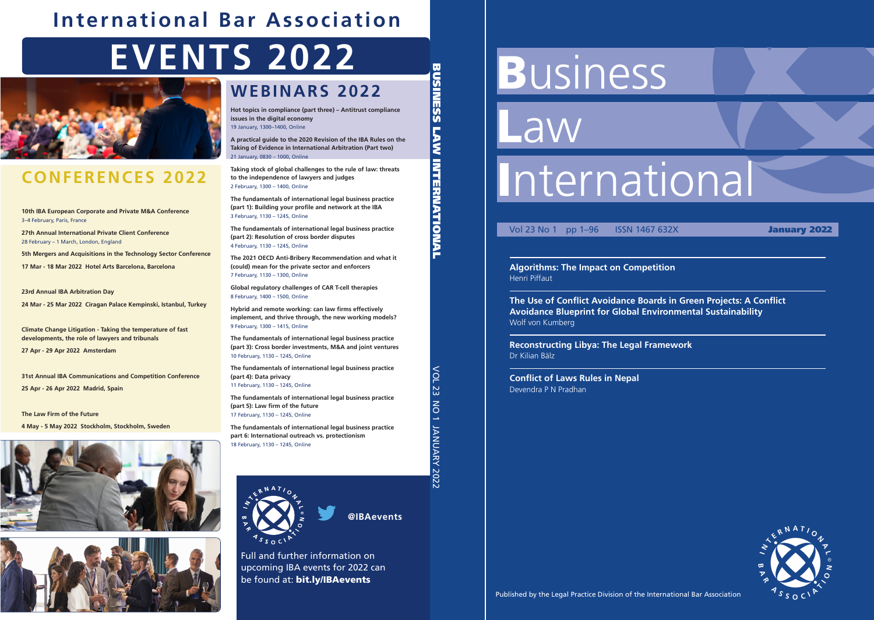# **Business**

Law

# International

# Vol 23 No 1 pp 1–96 ISSN 1467 632X **January 2022**

# **Algorithms: The Impact on Competition** Henri Piffaut

**The Use of Conflict Avoidance Boards in Green Projects: A Conflict Avoidance Blueprint for Global Environmental Sustainability** Wolf von Kumberg

**Reconstructing Libya: The Legal Framework** Dr Kilian Bälz

**Conflict of Laws Rules in Nepal** Devendra P N Pradhan



Published by the Legal Practice Division of the International Bar Association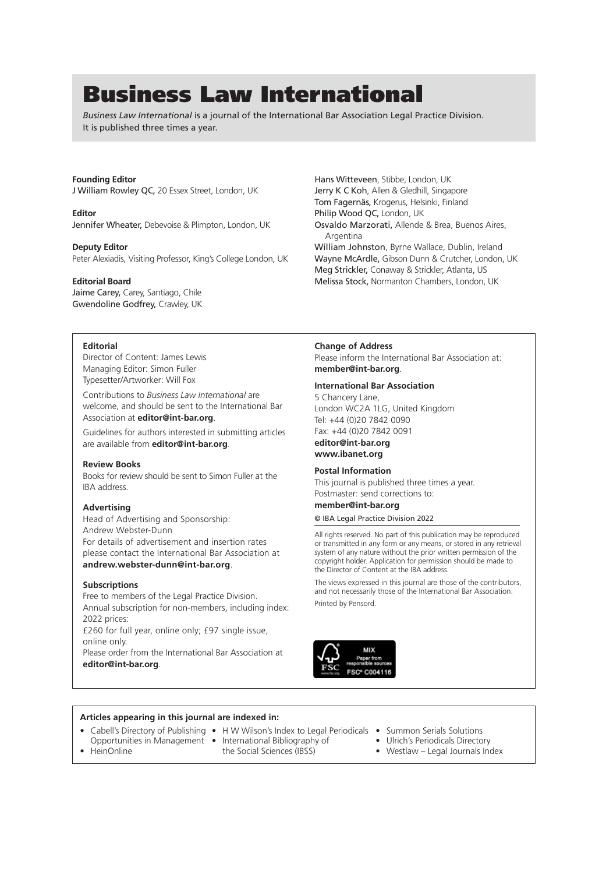# Business Law International

*Business Law International* is a journal of the International Bar Association Legal Practice Division. It is published three times a year.

#### **Founding Editor**

J William Rowley QC, 20 Essex Street, London, UK

**Editor** Jennifer Wheater, Debevoise & Plimpton, London, UK

**Deputy Editor** Peter Alexiadis, Visiting Professor, King's College London, UK

#### **Editorial Board**

Jaime Carey, Carey, Santiago, Chile Gwendoline Godfrey, Crawley, UK

#### **Editorial**

Director of Content: James Lewis Managing Editor: Simon Fuller Typesetter/Artworker: Will Fox

Contributions to *Business Law International* are welcome, and should be sent to the International Bar Association at **editor@int-bar.org**.

Guidelines for authors interested in submitting articles are available from **editor@int-bar.org**.

#### **Review Books**

Books for review should be sent to Simon Fuller at the IBA address.

#### **Advertising**

Head of Advertising and Sponsorship: Andrew Webster-Dunn For details of advertisement and insertion rates please contact the International Bar Association at **andrew.webster-dunn@int-bar.org**.

#### **Subscriptions**

Free to members of the Legal Practice Division. Annual subscription for non-members, including index: 2022 prices:

£260 for full year, online only; £97 single issue, online only.

Please order from the International Bar Association at **editor@int-bar.org**.

#### **Change of Address**

Argentina

Please inform the International Bar Association at: **member@int-bar.org**.

Osvaldo Marzorati, Allende & Brea, Buenos Aires,

William Johnston, Byrne Wallace, Dublin, Ireland Wayne McArdle, Gibson Dunn & Crutcher, London, UK Meg Strickler, Conaway & Strickler, Atlanta, US Melissa Stock, Normanton Chambers, London, UK

#### **International Bar Association**

Hans Witteveen, Stibbe, London, UK Jerry K C Koh, Allen & Gledhill, Singapore Tom Fagernäs, Krogerus, Helsinki, Finland Philip Wood QC, London, UK

5 Chancery Lane, London WC2A 1LG, United Kingdom Tel: +44 (0)20 7842 0090 Fax: +44 (0)20 7842 0091 **editor@int-bar.org www.ibanet.org**

#### **Postal Information**

This journal is published three times a year. Postmaster: send corrections to:

#### **member@int-bar.org**

#### © IBA Legal Practice Division 2022

All rights reserved. No part of this publication may be reproduced or transmitted in any form or any means, or stored in any retrieval system of any nature without the prior written permission of the copyright holder. Application for permission should be made to the Director of Content at the IBA address.

The views expressed in this journal are those of the contributors, and not necessarily those of the International Bar Association. Printed by Pensord.



#### **Articles appearing in this journal are indexed in:**

- Cabell's Directory of Publishing H W Wilson's Index to Legal Periodicals Summon Serials Solutions Opportunities in Management • International Bibliography of • HeinOnline • United Sciences (IBSS)
	-
- 
- $\bullet$  Westlaw Legal Journals Index
- 
-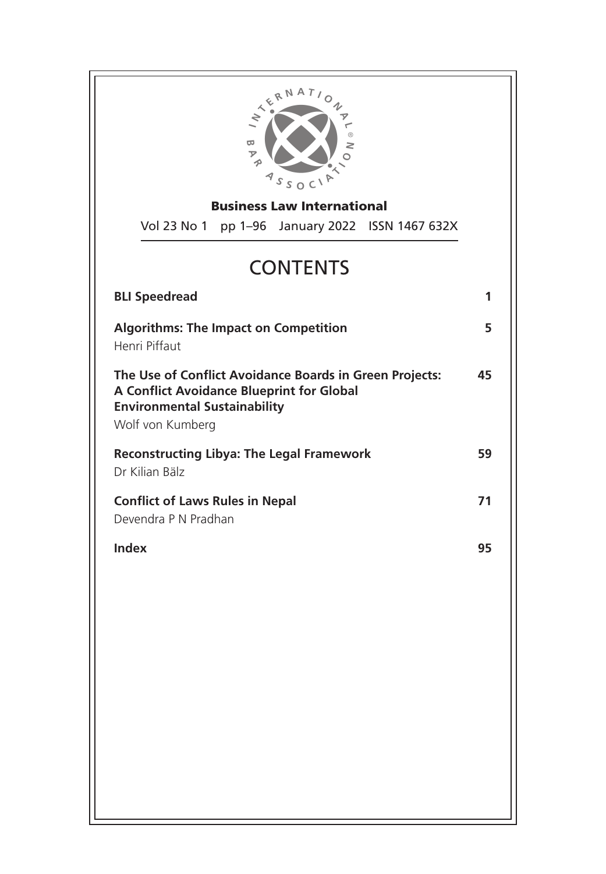

Business Law International

Vol 23 No 1 pp 1–96 January 2022 ISSN 1467 632X

# **CONTENTS**

| <b>BLI Speedread</b>                                                                                                                                                   | 1  |
|------------------------------------------------------------------------------------------------------------------------------------------------------------------------|----|
| <b>Algorithms: The Impact on Competition</b><br>Henri Piffaut                                                                                                          | 5  |
| The Use of Conflict Avoidance Boards in Green Projects:<br><b>A Conflict Avoidance Blueprint for Global</b><br><b>Environmental Sustainability</b><br>Wolf von Kumberg | 45 |
| <b>Reconstructing Libya: The Legal Framework</b><br>Dr Kilian Bälz                                                                                                     | 59 |
| <b>Conflict of Laws Rules in Nepal</b><br>Devendra P N Pradhan                                                                                                         | 71 |
| Index                                                                                                                                                                  | 95 |
|                                                                                                                                                                        |    |
|                                                                                                                                                                        |    |
|                                                                                                                                                                        |    |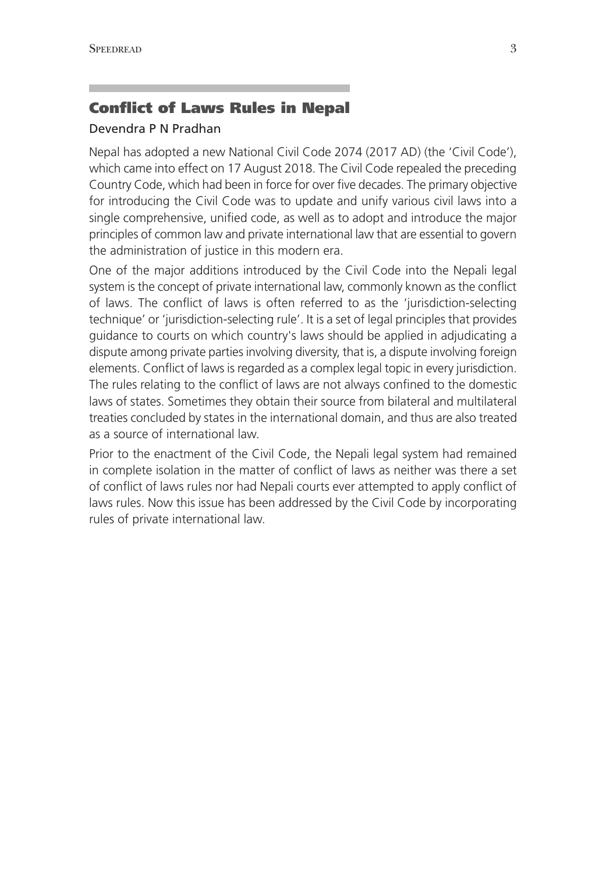# Conflict of Laws Rules in Nepal

# Devendra P N Pradhan

Nepal has adopted a new National Civil Code 2074 (2017 AD) (the 'Civil Code'), which came into effect on 17 August 2018. The Civil Code repealed the preceding Country Code, which had been in force for over five decades. The primary objective for introducing the Civil Code was to update and unify various civil laws into a single comprehensive, unified code, as well as to adopt and introduce the major principles of common law and private international law that are essential to govern the administration of justice in this modern era.

One of the major additions introduced by the Civil Code into the Nepali legal system is the concept of private international law, commonly known as the conflict of laws. The conflict of laws is often referred to as the 'jurisdiction-selecting technique' or 'jurisdiction-selecting rule'. It is a set of legal principles that provides guidance to courts on which country's laws should be applied in adjudicating a dispute among private parties involving diversity, that is, a dispute involving foreign elements. Conflict of laws is regarded as a complex legal topic in every jurisdiction. The rules relating to the conflict of laws are not always confined to the domestic laws of states. Sometimes they obtain their source from bilateral and multilateral treaties concluded by states in the international domain, and thus are also treated as a source of international law.

Prior to the enactment of the Civil Code, the Nepali legal system had remained in complete isolation in the matter of conflict of laws as neither was there a set of conflict of laws rules nor had Nepali courts ever attempted to apply conflict of laws rules. Now this issue has been addressed by the Civil Code by incorporating rules of private international law.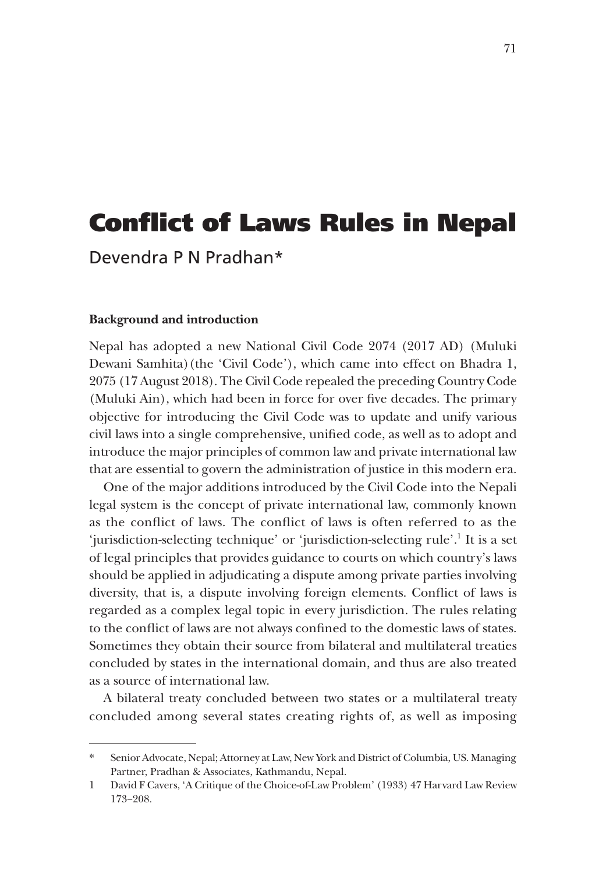# Conflict of Laws Rules in Nepal

Devendra P N Pradhan\*

#### **Background and introduction**

Nepal has adopted a new National Civil Code 2074 (2017 AD) (Muluki Dewani Samhita)(the 'Civil Code'), which came into effect on Bhadra 1, 2075 (17 August 2018). The Civil Code repealed the preceding Country Code (Muluki Ain), which had been in force for over five decades. The primary objective for introducing the Civil Code was to update and unify various civil laws into a single comprehensive, unified code, as well as to adopt and introduce the major principles of common law and private international law that are essential to govern the administration of justice in this modern era.

One of the major additions introduced by the Civil Code into the Nepali legal system is the concept of private international law, commonly known as the conflict of laws. The conflict of laws is often referred to as the 'jurisdiction-selecting technique' or 'jurisdiction-selecting rule'.<sup>1</sup> It is a set of legal principles that provides guidance to courts on which country's laws should be applied in adjudicating a dispute among private parties involving diversity, that is, a dispute involving foreign elements. Conflict of laws is regarded as a complex legal topic in every jurisdiction. The rules relating to the conflict of laws are not always confined to the domestic laws of states. Sometimes they obtain their source from bilateral and multilateral treaties concluded by states in the international domain, and thus are also treated as a source of international law.

A bilateral treaty concluded between two states or a multilateral treaty concluded among several states creating rights of, as well as imposing

Senior Advocate, Nepal; Attorney at Law, New York and District of Columbia, US. Managing Partner, Pradhan & Associates, Kathmandu, Nepal.

<sup>1</sup> David F Cavers, 'A Critique of the Choice-of-Law Problem' (1933) 47 Harvard Law Review 173−208.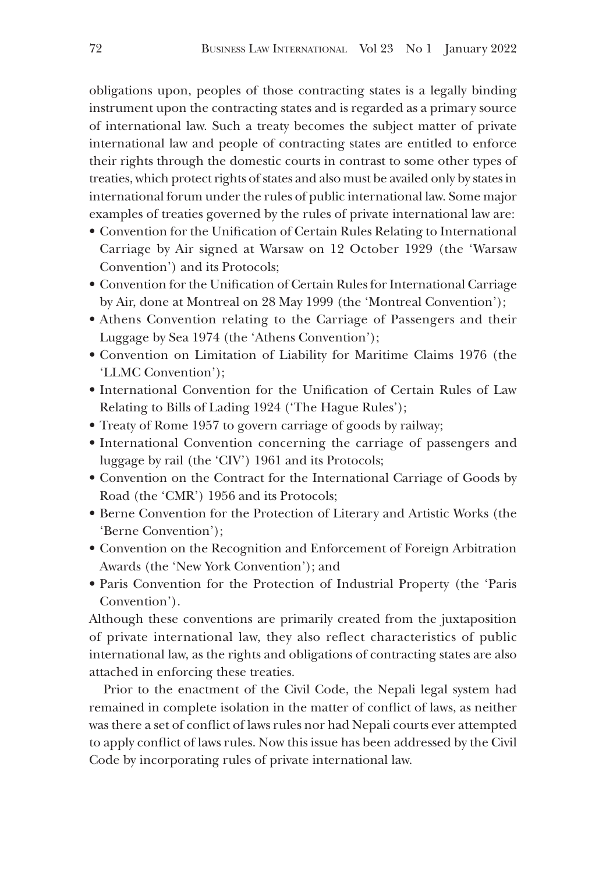obligations upon, peoples of those contracting states is a legally binding instrument upon the contracting states and is regarded as a primary source of international law. Such a treaty becomes the subject matter of private international law and people of contracting states are entitled to enforce their rights through the domestic courts in contrast to some other types of treaties, which protect rights of states and also must be availed only by states in international forum under the rules of public international law. Some major examples of treaties governed by the rules of private international law are:

- Convention for the Unification of Certain Rules Relating to International Carriage by Air signed at Warsaw on 12 October 1929 (the 'Warsaw Convention') and its Protocols;
- Convention for the Unification of Certain Rules for International Carriage by Air, done at Montreal on 28 May 1999 (the 'Montreal Convention');
- Athens Convention relating to the Carriage of Passengers and their Luggage by Sea 1974 (the 'Athens Convention');
- Convention on Limitation of Liability for Maritime Claims 1976 (the 'LLMC Convention');
- International Convention for the Unification of Certain Rules of Law Relating to Bills of Lading 1924 ('The Hague Rules');
- Treaty of Rome 1957 to govern carriage of goods by railway;
- International Convention concerning the carriage of passengers and luggage by rail (the 'CIV') 1961 and its Protocols;
- Convention on the Contract for the International Carriage of Goods by Road (the 'CMR') 1956 and its Protocols;
- Berne Convention for the Protection of Literary and Artistic Works (the 'Berne Convention');
- Convention on the Recognition and Enforcement of Foreign Arbitration Awards (the 'New York Convention'); and
- Paris Convention for the Protection of Industrial Property (the 'Paris Convention').

Although these conventions are primarily created from the juxtaposition of private international law, they also reflect characteristics of public international law, as the rights and obligations of contracting states are also attached in enforcing these treaties.

Prior to the enactment of the Civil Code, the Nepali legal system had remained in complete isolation in the matter of conflict of laws, as neither was there a set of conflict of laws rules nor had Nepali courts ever attempted to apply conflict of laws rules. Now this issue has been addressed by the Civil Code by incorporating rules of private international law.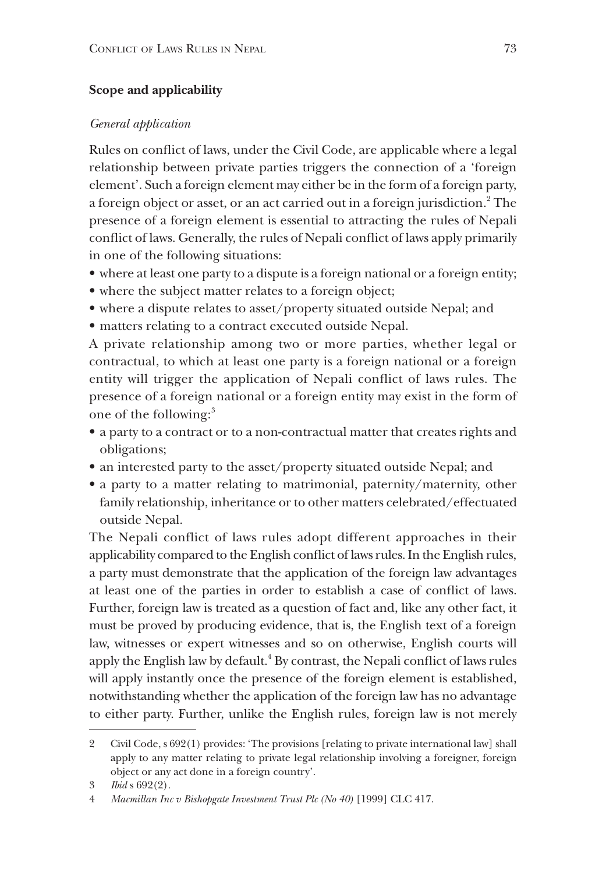# **Scope and applicability**

#### *General application*

Rules on conflict of laws, under the Civil Code, are applicable where a legal relationship between private parties triggers the connection of a 'foreign element'. Such a foreign element may either be in the form of a foreign party, a foreign object or asset, or an act carried out in a foreign jurisdiction.<sup>2</sup> The presence of a foreign element is essential to attracting the rules of Nepali conflict of laws. Generally, the rules of Nepali conflict of laws apply primarily in one of the following situations:

- where at least one party to a dispute is a foreign national or a foreign entity;
- where the subject matter relates to a foreign object;
- where a dispute relates to asset/property situated outside Nepal; and
- matters relating to a contract executed outside Nepal.

A private relationship among two or more parties, whether legal or contractual, to which at least one party is a foreign national or a foreign entity will trigger the application of Nepali conflict of laws rules. The presence of a foreign national or a foreign entity may exist in the form of one of the following:<sup>3</sup>

- a party to a contract or to a non-contractual matter that creates rights and obligations;
- an interested party to the asset/property situated outside Nepal; and
- a party to a matter relating to matrimonial, paternity/maternity, other family relationship, inheritance or to other matters celebrated/effectuated outside Nepal.

The Nepali conflict of laws rules adopt different approaches in their applicability compared to the English conflict of laws rules. In the English rules, a party must demonstrate that the application of the foreign law advantages at least one of the parties in order to establish a case of conflict of laws. Further, foreign law is treated as a question of fact and, like any other fact, it must be proved by producing evidence, that is, the English text of a foreign law, witnesses or expert witnesses and so on otherwise, English courts will apply the English law by default. $4$  By contrast, the Nepali conflict of laws rules will apply instantly once the presence of the foreign element is established, notwithstanding whether the application of the foreign law has no advantage to either party. Further, unlike the English rules, foreign law is not merely

<sup>2</sup> Civil Code, s 692(1) provides: 'The provisions [relating to private international law] shall apply to any matter relating to private legal relationship involving a foreigner, foreign object or any act done in a foreign country'.

<sup>3</sup> *Ibid* s 692(2).

<sup>4</sup> *Macmillan Inc v Bishopgate Investment Trust Plc (No 40)* [1999] CLC 417.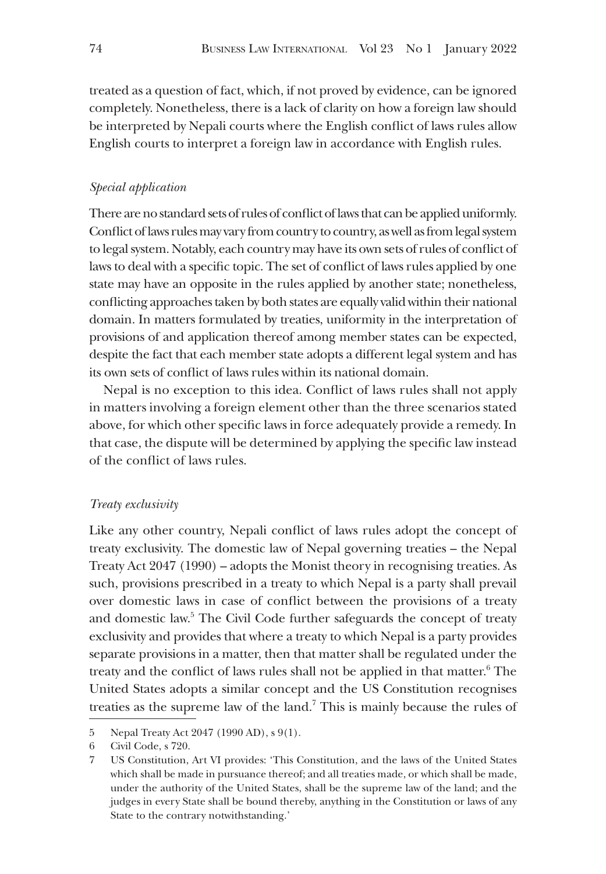treated as a question of fact, which, if not proved by evidence, can be ignored completely. Nonetheless, there is a lack of clarity on how a foreign law should be interpreted by Nepali courts where the English conflict of laws rules allow English courts to interpret a foreign law in accordance with English rules.

# *Special application*

There are no standard sets of rules of conflict of laws that can be applied uniformly. Conflict of laws rules may vary from country to country, as well as from legal system to legal system. Notably, each country may have its own sets of rules of conflict of laws to deal with a specific topic. The set of conflict of laws rules applied by one state may have an opposite in the rules applied by another state; nonetheless, conflicting approaches taken by both states are equally valid within their national domain. In matters formulated by treaties, uniformity in the interpretation of provisions of and application thereof among member states can be expected, despite the fact that each member state adopts a different legal system and has its own sets of conflict of laws rules within its national domain.

Nepal is no exception to this idea. Conflict of laws rules shall not apply in matters involving a foreign element other than the three scenarios stated above, for which other specific laws in force adequately provide a remedy. In that case, the dispute will be determined by applying the specific law instead of the conflict of laws rules.

## *Treaty exclusivity*

Like any other country, Nepali conflict of laws rules adopt the concept of treaty exclusivity. The domestic law of Nepal governing treaties – the Nepal Treaty Act 2047 (1990) – adopts the Monist theory in recognising treaties. As such, provisions prescribed in a treaty to which Nepal is a party shall prevail over domestic laws in case of conflict between the provisions of a treaty and domestic law.<sup>5</sup> The Civil Code further safeguards the concept of treaty exclusivity and provides that where a treaty to which Nepal is a party provides separate provisions in a matter, then that matter shall be regulated under the treaty and the conflict of laws rules shall not be applied in that matter.<sup>6</sup> The United States adopts a similar concept and the US Constitution recognises treaties as the supreme law of the land.<sup>7</sup> This is mainly because the rules of

<sup>5</sup> Nepal Treaty Act 2047 (1990 AD), s 9(1).

<sup>6</sup> Civil Code, s 720.

<sup>7</sup> US Constitution, Art VI provides: 'This Constitution, and the laws of the United States which shall be made in pursuance thereof; and all treaties made, or which shall be made, under the authority of the United States, shall be the supreme law of the land; and the judges in every State shall be bound thereby, anything in the Constitution or laws of any State to the contrary notwithstanding.'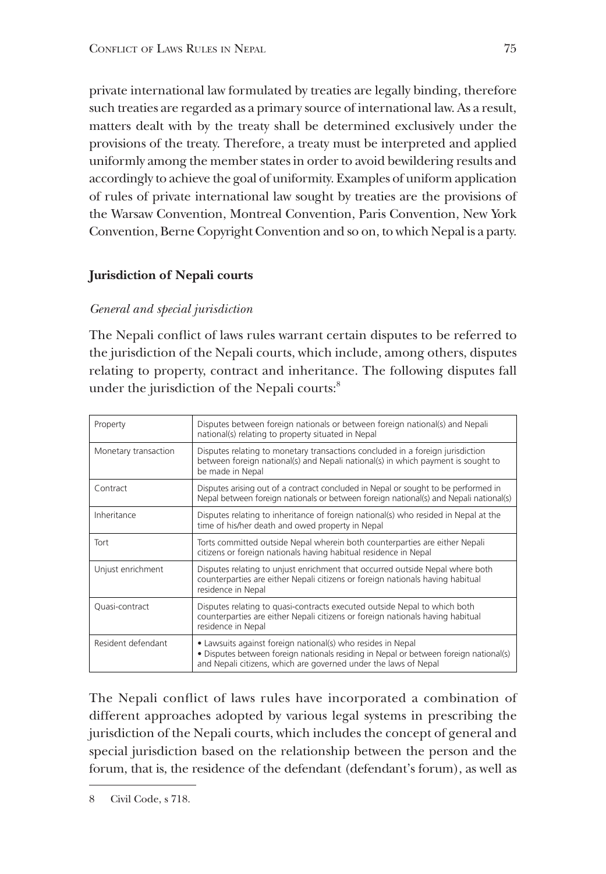private international law formulated by treaties are legally binding, therefore such treaties are regarded as a primary source of international law. As a result, matters dealt with by the treaty shall be determined exclusively under the provisions of the treaty. Therefore, a treaty must be interpreted and applied uniformly among the member states in order to avoid bewildering results and accordingly to achieve the goal of uniformity. Examples of uniform application of rules of private international law sought by treaties are the provisions of the Warsaw Convention, Montreal Convention, Paris Convention, New York Convention, Berne Copyright Convention and so on, to which Nepal is a party.

# **Jurisdiction of Nepali courts**

# *General and special jurisdiction*

The Nepali conflict of laws rules warrant certain disputes to be referred to the jurisdiction of the Nepali courts, which include, among others, disputes relating to property, contract and inheritance. The following disputes fall under the jurisdiction of the Nepali courts:<sup>8</sup>

| Property             | Disputes between foreign nationals or between foreign national(s) and Nepali<br>national(s) relating to property situated in Nepal                                                                                      |
|----------------------|-------------------------------------------------------------------------------------------------------------------------------------------------------------------------------------------------------------------------|
| Monetary transaction | Disputes relating to monetary transactions concluded in a foreign jurisdiction<br>between foreign national(s) and Nepali national(s) in which payment is sought to<br>be made in Nepal                                  |
| Contract             | Disputes arising out of a contract concluded in Nepal or sought to be performed in<br>Nepal between foreign nationals or between foreign national(s) and Nepali national(s)                                             |
| Inheritance          | Disputes relating to inheritance of foreign national(s) who resided in Nepal at the<br>time of his/her death and owed property in Nepal                                                                                 |
| Tort                 | Torts committed outside Nepal wherein both counterparties are either Nepali<br>citizens or foreign nationals having habitual residence in Nepal                                                                         |
| Unjust enrichment    | Disputes relating to unjust enrichment that occurred outside Nepal where both<br>counterparties are either Nepali citizens or foreign nationals having habitual<br>residence in Nepal                                   |
| Quasi-contract       | Disputes relating to quasi-contracts executed outside Nepal to which both<br>counterparties are either Nepali citizens or foreign nationals having habitual<br>residence in Nepal                                       |
| Resident defendant   | • Lawsuits against foreign national(s) who resides in Nepal<br>• Disputes between foreign nationals residing in Nepal or between foreign national(s)<br>and Nepali citizens, which are governed under the laws of Nepal |

The Nepali conflict of laws rules have incorporated a combination of different approaches adopted by various legal systems in prescribing the jurisdiction of the Nepali courts, which includes the concept of general and special jurisdiction based on the relationship between the person and the forum, that is, the residence of the defendant (defendant's forum), as well as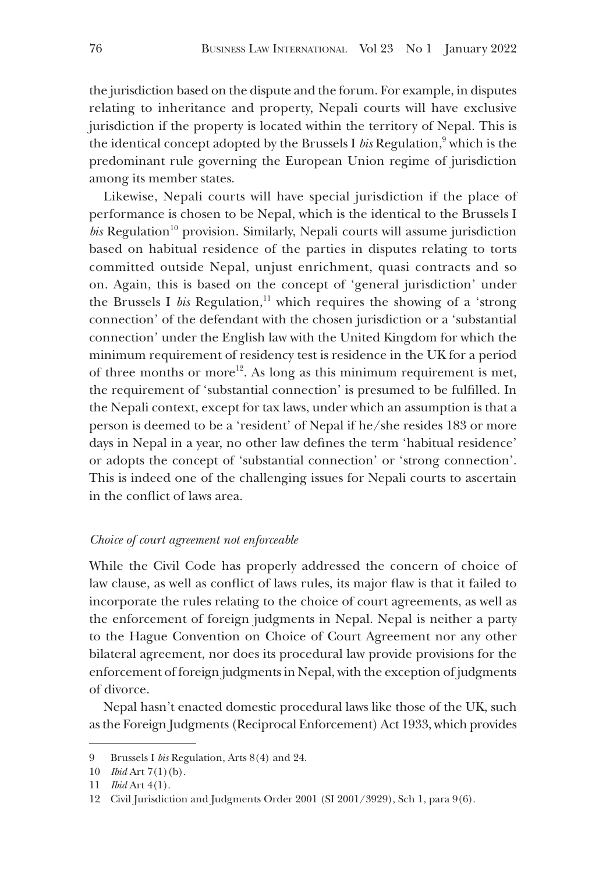the jurisdiction based on the dispute and the forum. For example, in disputes relating to inheritance and property, Nepali courts will have exclusive jurisdiction if the property is located within the territory of Nepal. This is the identical concept adopted by the Brussels I *bis* Regulation,<sup>9</sup> which is the predominant rule governing the European Union regime of jurisdiction among its member states.

Likewise, Nepali courts will have special jurisdiction if the place of performance is chosen to be Nepal, which is the identical to the Brussels I  $bis$  Regulation<sup>10</sup> provision. Similarly, Nepali courts will assume jurisdiction based on habitual residence of the parties in disputes relating to torts committed outside Nepal, unjust enrichment, quasi contracts and so on. Again, this is based on the concept of 'general jurisdiction' under the Brussels I *bis* Regulation,<sup>11</sup> which requires the showing of a 'strong' connection' of the defendant with the chosen jurisdiction or a 'substantial connection' under the English law with the United Kingdom for which the minimum requirement of residency test is residence in the UK for a period of three months or more<sup>12</sup>. As long as this minimum requirement is met, the requirement of 'substantial connection' is presumed to be fulfilled. In the Nepali context, except for tax laws, under which an assumption is that a person is deemed to be a 'resident' of Nepal if he/she resides 183 or more days in Nepal in a year, no other law defines the term 'habitual residence' or adopts the concept of 'substantial connection' or 'strong connection'. This is indeed one of the challenging issues for Nepali courts to ascertain in the conflict of laws area.

#### *Choice of court agreement not enforceable*

While the Civil Code has properly addressed the concern of choice of law clause, as well as conflict of laws rules, its major flaw is that it failed to incorporate the rules relating to the choice of court agreements, as well as the enforcement of foreign judgments in Nepal. Nepal is neither a party to the Hague Convention on Choice of Court Agreement nor any other bilateral agreement, nor does its procedural law provide provisions for the enforcement of foreign judgments in Nepal, with the exception of judgments of divorce.

Nepal hasn't enacted domestic procedural laws like those of the UK, such as the Foreign Judgments (Reciprocal Enforcement) Act 1933, which provides

<sup>9</sup> Brussels I *bis* Regulation, Arts 8(4) and 24.

<sup>10</sup> *Ibid* Art 7(1)(b).

<sup>11</sup> *Ibid* Art 4(1).

<sup>12</sup> Civil Jurisdiction and Judgments Order 2001 (SI 2001/3929), Sch 1, para 9(6).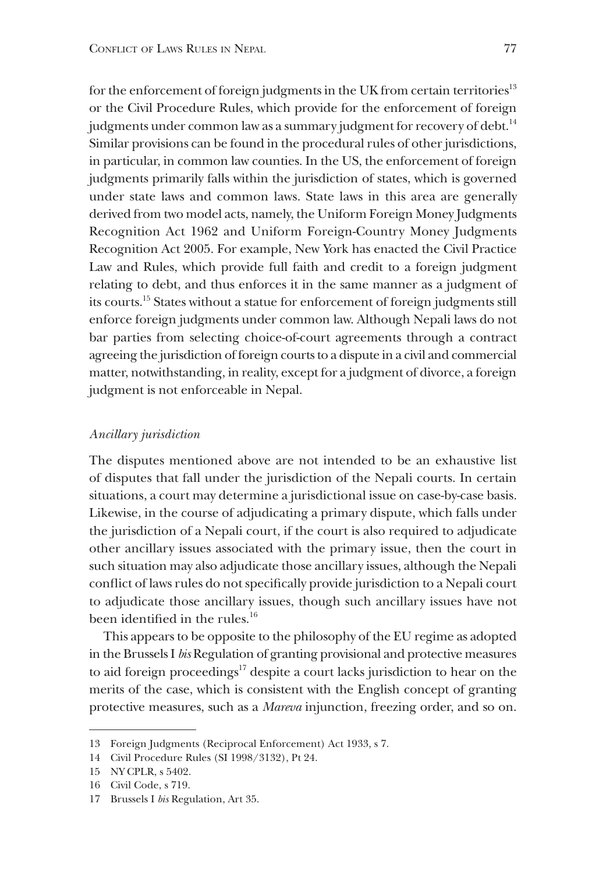for the enforcement of foreign judgments in the UK from certain territories<sup>13</sup> or the Civil Procedure Rules, which provide for the enforcement of foreign judgments under common law as a summary judgment for recovery of debt.<sup>14</sup> Similar provisions can be found in the procedural rules of other jurisdictions, in particular, in common law counties. In the US, the enforcement of foreign judgments primarily falls within the jurisdiction of states, which is governed under state laws and common laws. State laws in this area are generally derived from two model acts, namely, the Uniform Foreign Money Judgments Recognition Act 1962 and Uniform Foreign-Country Money Judgments Recognition Act 2005. For example, New York has enacted the Civil Practice Law and Rules, which provide full faith and credit to a foreign judgment relating to debt, and thus enforces it in the same manner as a judgment of its courts.15 States without a statue for enforcement of foreign judgments still enforce foreign judgments under common law. Although Nepali laws do not bar parties from selecting choice-of-court agreements through a contract agreeing the jurisdiction of foreign courts to a dispute in a civil and commercial matter, notwithstanding, in reality, except for a judgment of divorce, a foreign judgment is not enforceable in Nepal.

#### *Ancillary jurisdiction*

The disputes mentioned above are not intended to be an exhaustive list of disputes that fall under the jurisdiction of the Nepali courts. In certain situations, a court may determine a jurisdictional issue on case-by-case basis. Likewise, in the course of adjudicating a primary dispute, which falls under the jurisdiction of a Nepali court, if the court is also required to adjudicate other ancillary issues associated with the primary issue, then the court in such situation may also adjudicate those ancillary issues, although the Nepali conflict of laws rules do not specifically provide jurisdiction to a Nepali court to adjudicate those ancillary issues, though such ancillary issues have not been identified in the rules.<sup>16</sup>

This appears to be opposite to the philosophy of the EU regime as adopted in the Brussels I *bis* Regulation of granting provisional and protective measures to aid foreign proceedings<sup>17</sup> despite a court lacks jurisdiction to hear on the merits of the case, which is consistent with the English concept of granting protective measures, such as a *Mareva* injunction, freezing order, and so on.

<sup>13</sup> Foreign Judgments (Reciprocal Enforcement) Act 1933, s 7.

<sup>14</sup> Civil Procedure Rules (SI 1998/3132), Pt 24.

<sup>15</sup> [NY CPLR, s 5402.](https://law.justia.com/citations.html)

<sup>16</sup> Civil Code, s 719.

<sup>17</sup> Brussels I *bis* Regulation, Art 35.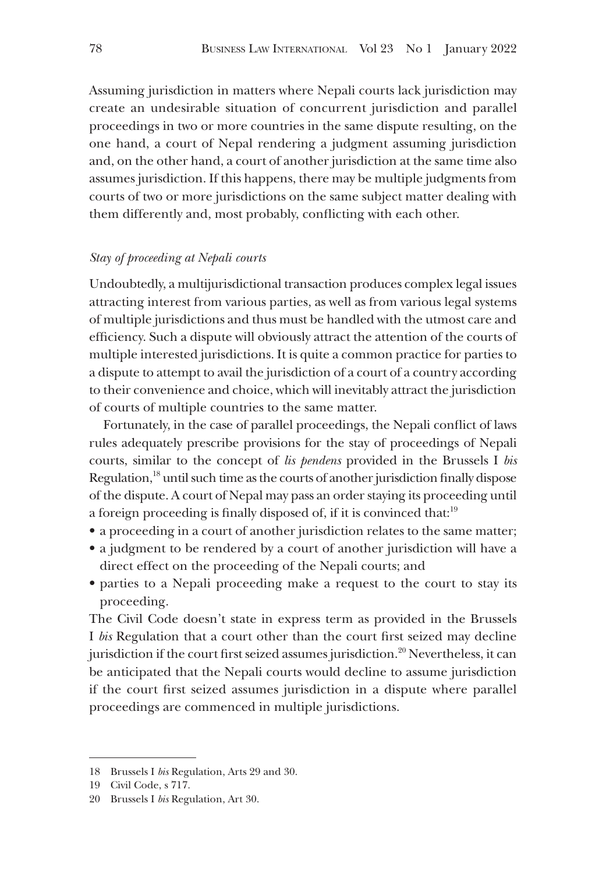Assuming jurisdiction in matters where Nepali courts lack jurisdiction may create an undesirable situation of concurrent jurisdiction and parallel proceedings in two or more countries in the same dispute resulting, on the one hand, a court of Nepal rendering a judgment assuming jurisdiction and, on the other hand, a court of another jurisdiction at the same time also assumes jurisdiction. If this happens, there may be multiple judgments from courts of two or more jurisdictions on the same subject matter dealing with them differently and, most probably, conflicting with each other.

## *Stay of proceeding at Nepali courts*

Undoubtedly, a multijurisdictional transaction produces complex legal issues attracting interest from various parties, as well as from various legal systems of multiple jurisdictions and thus must be handled with the utmost care and efficiency. Such a dispute will obviously attract the attention of the courts of multiple interested jurisdictions. It is quite a common practice for parties to a dispute to attempt to avail the jurisdiction of a court of a country according to their convenience and choice, which will inevitably attract the jurisdiction of courts of multiple countries to the same matter.

Fortunately, in the case of parallel proceedings, the Nepali conflict of laws rules adequately prescribe provisions for the stay of proceedings of Nepali courts, similar to the concept of *lis pendens* provided in the Brussels I *bis* Regulation,18 until such time as the courts of another jurisdiction finally dispose of the dispute. A court of Nepal may pass an order staying its proceeding until a foreign proceeding is finally disposed of, if it is convinced that:19

- a proceeding in a court of another jurisdiction relates to the same matter;
- a judgment to be rendered by a court of another jurisdiction will have a direct effect on the proceeding of the Nepali courts; and
- parties to a Nepali proceeding make a request to the court to stay its proceeding.

The Civil Code doesn't state in express term as provided in the Brussels I *bis* Regulation that a court other than the court first seized may decline jurisdiction if the court first seized assumes jurisdiction.<sup>20</sup> Nevertheless, it can be anticipated that the Nepali courts would decline to assume jurisdiction if the court first seized assumes jurisdiction in a dispute where parallel proceedings are commenced in multiple jurisdictions.

<sup>18</sup> Brussels I *bis* Regulation, Arts 29 and 30.

<sup>19</sup> Civil Code, s 717.

<sup>20</sup> Brussels I *bis* Regulation, Art 30.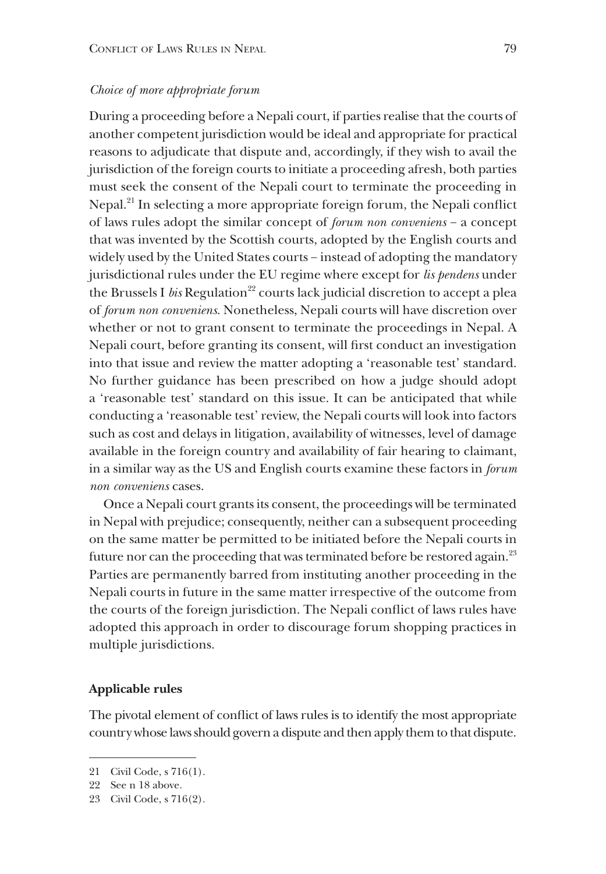# *Choice of more appropriate forum*

During a proceeding before a Nepali court, if parties realise that the courts of another competent jurisdiction would be ideal and appropriate for practical reasons to adjudicate that dispute and, accordingly, if they wish to avail the jurisdiction of the foreign courts to initiate a proceeding afresh, both parties must seek the consent of the Nepali court to terminate the proceeding in Nepal.<sup>21</sup> In selecting a more appropriate foreign forum, the Nepali conflict of laws rules adopt the similar concept of *forum non conveniens* − a concept that was invented by the Scottish courts, adopted by the English courts and widely used by the United States courts − instead of adopting the mandatory jurisdictional rules under the EU regime where except for *lis pendens* under the Brussels I *bis* Regulation<sup>22</sup> courts lack judicial discretion to accept a plea of *forum non conveniens*. Nonetheless, Nepali courts will have discretion over whether or not to grant consent to terminate the proceedings in Nepal. A Nepali court, before granting its consent, will first conduct an investigation into that issue and review the matter adopting a 'reasonable test' standard. No further guidance has been prescribed on how a judge should adopt a 'reasonable test' standard on this issue. It can be anticipated that while conducting a 'reasonable test' review, the Nepali courts will look into factors such as cost and delays in litigation, availability of witnesses, level of damage available in the foreign country and availability of fair hearing to claimant, in a similar way as the US and English courts examine these factors in *forum non conveniens* cases.

Once a Nepali court grants its consent, the proceedings will be terminated in Nepal with prejudice; consequently, neither can a subsequent proceeding on the same matter be permitted to be initiated before the Nepali courts in future nor can the proceeding that was terminated before be restored again.<sup>23</sup> Parties are permanently barred from instituting another proceeding in the Nepali courts in future in the same matter irrespective of the outcome from the courts of the foreign jurisdiction. The Nepali conflict of laws rules have adopted this approach in order to discourage forum shopping practices in multiple jurisdictions.

#### **Applicable rules**

The pivotal element of conflict of laws rules is to identify the most appropriate country whose laws should govern a dispute and then apply them to that dispute.

<sup>21</sup> Civil Code, s 716(1).

<sup>22</sup> See n 18 above.

<sup>23</sup> Civil Code, s 716(2).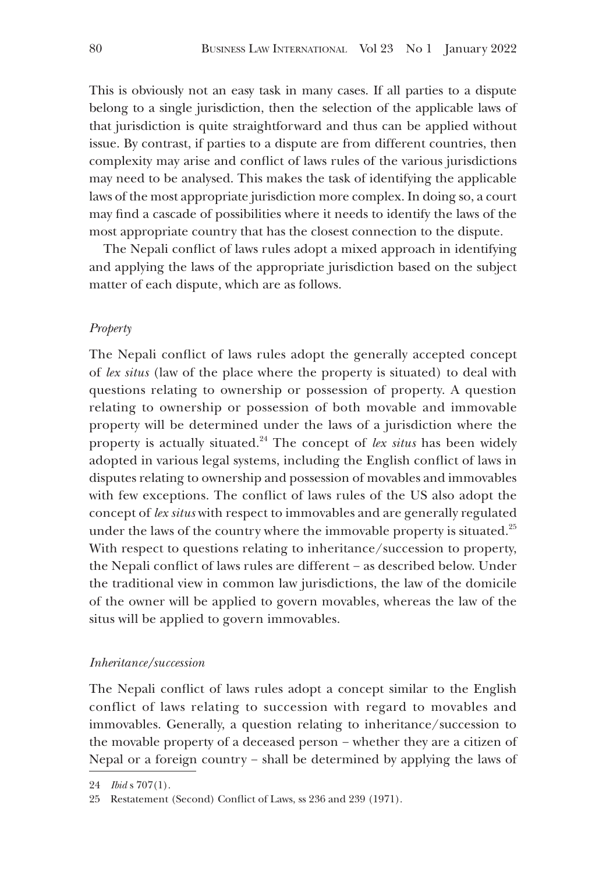This is obviously not an easy task in many cases. If all parties to a dispute belong to a single jurisdiction, then the selection of the applicable laws of that jurisdiction is quite straightforward and thus can be applied without issue. By contrast, if parties to a dispute are from different countries, then complexity may arise and conflict of laws rules of the various jurisdictions may need to be analysed. This makes the task of identifying the applicable laws of the most appropriate jurisdiction more complex. In doing so, a court may find a cascade of possibilities where it needs to identify the laws of the most appropriate country that has the closest connection to the dispute.

The Nepali conflict of laws rules adopt a mixed approach in identifying and applying the laws of the appropriate jurisdiction based on the subject matter of each dispute, which are as follows.

# *Property*

The Nepali conflict of laws rules adopt the generally accepted concept of *lex situs* (law of the place where the property is situated) to deal with questions relating to ownership or possession of property. A question relating to ownership or possession of both movable and immovable property will be determined under the laws of a jurisdiction where the property is actually situated.24 The concept of *lex situs* has been widely adopted in various legal systems, including the English conflict of laws in disputes relating to ownership and possession of movables and immovables with few exceptions. The conflict of laws rules of the US also adopt the concept of *lex situs* with respect to immovables and are generally regulated under the laws of the country where the immovable property is situated.<sup>25</sup> With respect to questions relating to inheritance/succession to property, the Nepali conflict of laws rules are different − as described below. Under the traditional view in common law jurisdictions, the law of the domicile of the owner will be applied to govern movables, whereas the law of the situs will be applied to govern immovables.

#### *Inheritance/succession*

The Nepali conflict of laws rules adopt a concept similar to the English conflict of laws relating to succession with regard to movables and immovables. Generally, a question relating to inheritance/succession to the movable property of a deceased person − whether they are a citizen of Nepal or a foreign country − shall be determined by applying the laws of

<sup>24</sup> *Ibid* s 707(1).

<sup>25</sup> Restatement (Second) Conflict of Laws, ss 236 and 239 (1971).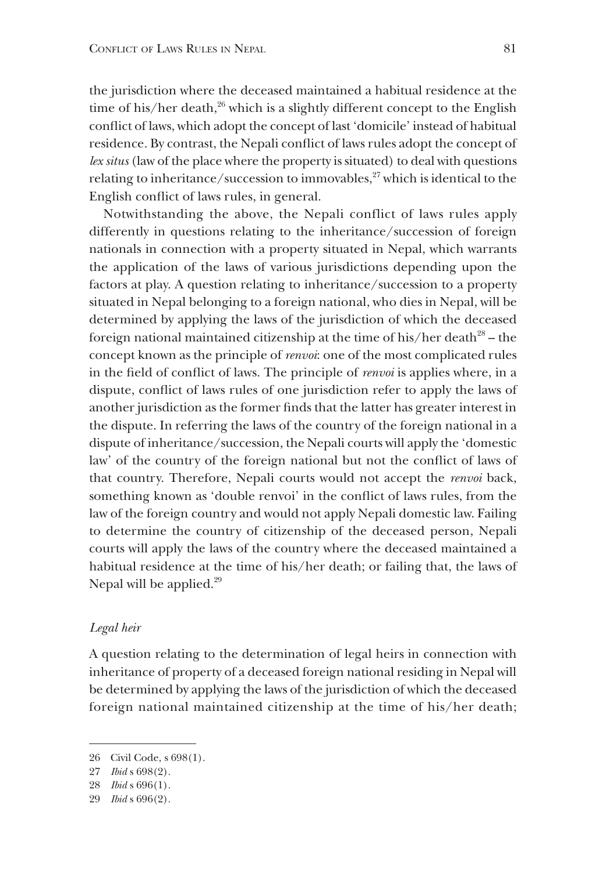the jurisdiction where the deceased maintained a habitual residence at the time of his/her death, $^{26}$  which is a slightly different concept to the English conflict of laws, which adopt the concept of last 'domicile' instead of habitual residence. By contrast, the Nepali conflict of laws rules adopt the concept of *lex situs* (law of the place where the property is situated) to deal with questions relating to inheritance/succession to immovables, $27$  which is identical to the English conflict of laws rules, in general.

Notwithstanding the above, the Nepali conflict of laws rules apply differently in questions relating to the inheritance/succession of foreign nationals in connection with a property situated in Nepal, which warrants the application of the laws of various jurisdictions depending upon the factors at play. A question relating to inheritance/succession to a property situated in Nepal belonging to a foreign national, who dies in Nepal, will be determined by applying the laws of the jurisdiction of which the deceased foreign national maintained citizenship at the time of his/her death<sup>28</sup> – the concept known as the principle of *renvoi*: one of the most complicated rules in the field of conflict of laws. The principle of *renvoi* is applies where, in a dispute, conflict of laws rules of one jurisdiction refer to apply the laws of another jurisdiction as the former finds that the latter has greater interest in the dispute. In referring the laws of the country of the foreign national in a dispute of inheritance/succession, the Nepali courts will apply the 'domestic law' of the country of the foreign national but not the conflict of laws of that country. Therefore, Nepali courts would not accept the *renvoi* back, something known as 'double renvoi' in the conflict of laws rules, from the law of the foreign country and would not apply Nepali domestic law. Failing to determine the country of citizenship of the deceased person, Nepali courts will apply the laws of the country where the deceased maintained a habitual residence at the time of his/her death; or failing that, the laws of Nepal will be applied.<sup>29</sup>

#### *Legal heir*

A question relating to the determination of legal heirs in connection with inheritance of property of a deceased foreign national residing in Nepal will be determined by applying the laws of the jurisdiction of which the deceased foreign national maintained citizenship at the time of his/her death;

<sup>26</sup> Civil Code, s 698(1).

<sup>27</sup> *Ibid* s 698(2).

<sup>28</sup> *Ibid* s 696(1).

<sup>29</sup> *Ibid* s 696(2).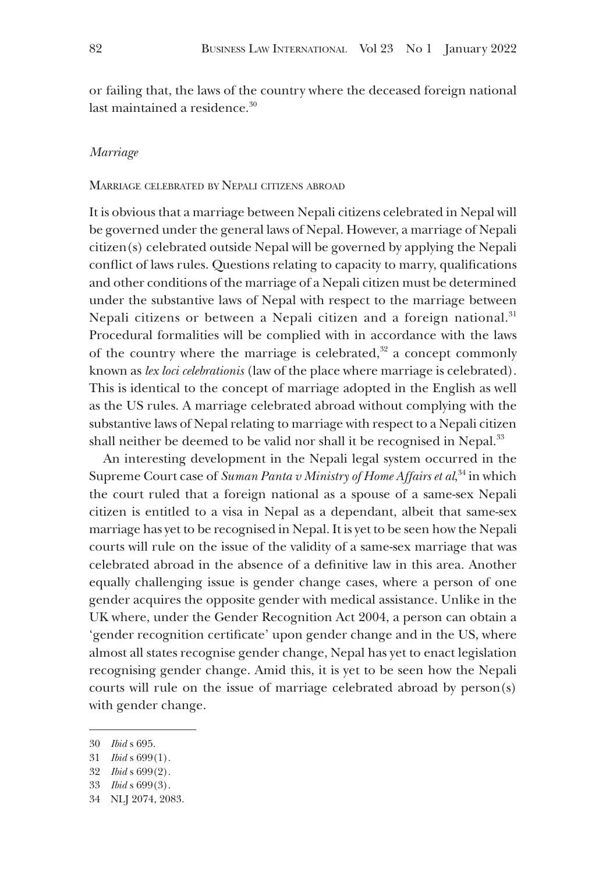or failing that, the laws of the country where the deceased foreign national last maintained a residence.<sup>30</sup>

#### *Marriage*

#### Marriage celebrated by Nepali citizens abroad

It is obvious that a marriage between Nepali citizens celebrated in Nepal will be governed under the general laws of Nepal. However, a marriage of Nepali citizen(s) celebrated outside Nepal will be governed by applying the Nepali conflict of laws rules. Questions relating to capacity to marry, qualifications and other conditions of the marriage of a Nepali citizen must be determined under the substantive laws of Nepal with respect to the marriage between Nepali citizens or between a Nepali citizen and a foreign national.<sup>31</sup> Procedural formalities will be complied with in accordance with the laws of the country where the marriage is celebrated, $32$  a concept commonly known as *lex loci celebrationis* (law of the place where marriage is celebrated). This is identical to the concept of marriage adopted in the English as well as the US rules. A marriage celebrated abroad without complying with the substantive laws of Nepal relating to marriage with respect to a Nepali citizen shall neither be deemed to be valid nor shall it be recognised in Nepal.<sup>33</sup>

An interesting development in the Nepali legal system occurred in the Supreme Court case of *Suman Panta v Ministry of Home Affairs et al*,<sup>34</sup> in which the court ruled that a foreign national as a spouse of a same-sex Nepali citizen is entitled to a visa in Nepal as a dependant, albeit that same-sex marriage has yet to be recognised in Nepal. It is yet to be seen how the Nepali courts will rule on the issue of the validity of a same-sex marriage that was celebrated abroad in the absence of a definitive law in this area. Another equally challenging issue is gender change cases, where a person of one gender acquires the opposite gender with medical assistance. Unlike in the UK where, under the Gender Recognition Act 2004, a person can obtain a 'gender recognition certificate' upon gender change and in the US, where almost all states recognise gender change, Nepal has yet to enact legislation recognising gender change. Amid this, it is yet to be seen how the Nepali courts will rule on the issue of marriage celebrated abroad by person(s) with gender change.

<sup>30</sup> *Ibid* s 695.

<sup>31</sup> *Ibid* s 699(1).

<sup>32</sup> *Ibid* s 699(2).

<sup>33</sup> *Ibid* s 699(3).

<sup>34</sup> NLJ 2074, 2083.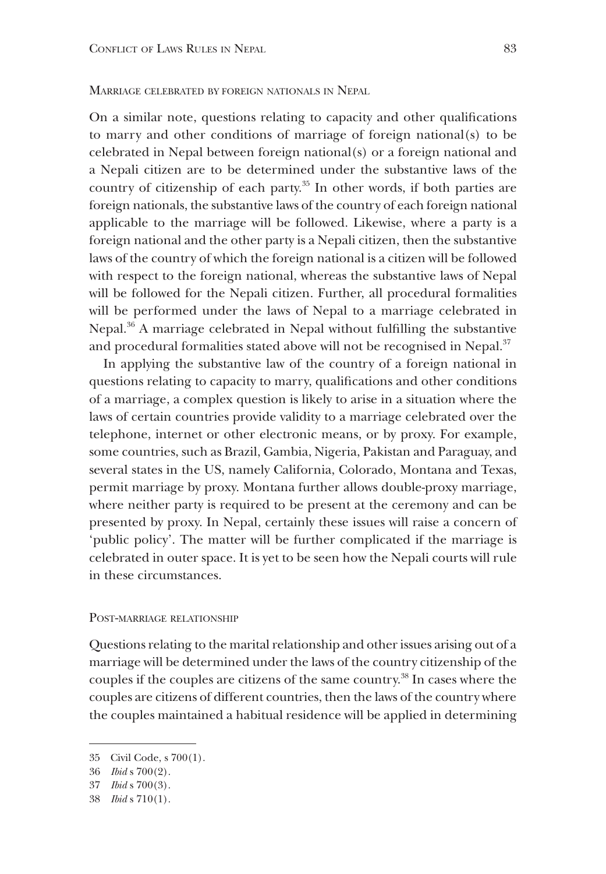#### Marriage celebrated by foreign nationals in Nepal

On a similar note, questions relating to capacity and other qualifications to marry and other conditions of marriage of foreign national(s) to be celebrated in Nepal between foreign national(s) or a foreign national and a Nepali citizen are to be determined under the substantive laws of the country of citizenship of each party.<sup>35</sup> In other words, if both parties are foreign nationals, the substantive laws of the country of each foreign national applicable to the marriage will be followed. Likewise, where a party is a foreign national and the other party is a Nepali citizen, then the substantive laws of the country of which the foreign national is a citizen will be followed with respect to the foreign national, whereas the substantive laws of Nepal will be followed for the Nepali citizen. Further, all procedural formalities will be performed under the laws of Nepal to a marriage celebrated in Nepal.<sup>36</sup> A marriage celebrated in Nepal without fulfilling the substantive and procedural formalities stated above will not be recognised in Nepal.<sup>37</sup>

In applying the substantive law of the country of a foreign national in questions relating to capacity to marry, qualifications and other conditions of a marriage, a complex question is likely to arise in a situation where the laws of certain countries provide validity to a marriage celebrated over the telephone, internet or other electronic means, or by proxy. For example, some countries, such as Brazil, Gambia, Nigeria, Pakistan and Paraguay, and several states in the US, namely California, Colorado, Montana and Texas, permit marriage by proxy. Montana further allows double-proxy marriage, where neither party is required to be present at the ceremony and can be presented by proxy. In Nepal, certainly these issues will raise a concern of 'public policy'. The matter will be further complicated if the marriage is celebrated in outer space. It is yet to be seen how the Nepali courts will rule in these circumstances.

#### Post-marriage relationship

Questions relating to the marital relationship and other issues arising out of a marriage will be determined under the laws of the country citizenship of the couples if the couples are citizens of the same country.38 In cases where the couples are citizens of different countries, then the laws of the country where the couples maintained a habitual residence will be applied in determining

<sup>35</sup> Civil Code, s 700(1).

<sup>36</sup> *Ibid* s 700(2).

<sup>37</sup> *Ibid* s 700(3).

<sup>38</sup> *Ibid* s 710(1).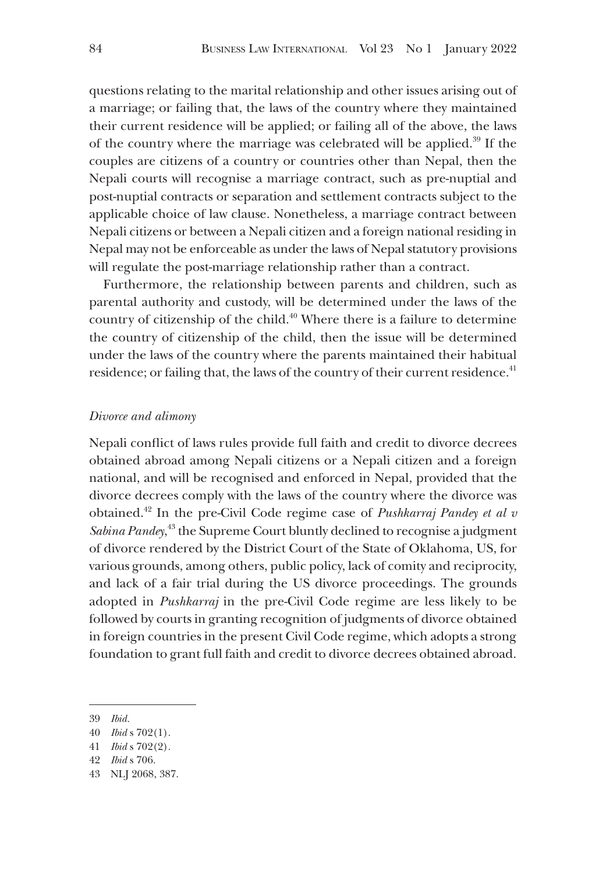questions relating to the marital relationship and other issues arising out of a marriage; or failing that, the laws of the country where they maintained their current residence will be applied; or failing all of the above, the laws of the country where the marriage was celebrated will be applied.39 If the couples are citizens of a country or countries other than Nepal, then the Nepali courts will recognise a marriage contract, such as pre-nuptial and post-nuptial contracts or separation and settlement contracts subject to the applicable choice of law clause. Nonetheless, a marriage contract between Nepali citizens or between a Nepali citizen and a foreign national residing in Nepal may not be enforceable as under the laws of Nepal statutory provisions will regulate the post-marriage relationship rather than a contract.

Furthermore, the relationship between parents and children, such as parental authority and custody, will be determined under the laws of the country of citizenship of the child.<sup>40</sup> Where there is a failure to determine the country of citizenship of the child, then the issue will be determined under the laws of the country where the parents maintained their habitual residence; or failing that, the laws of the country of their current residence.<sup>41</sup>

#### *Divorce and alimony*

Nepali conflict of laws rules provide full faith and credit to divorce decrees obtained abroad among Nepali citizens or a Nepali citizen and a foreign national, and will be recognised and enforced in Nepal, provided that the divorce decrees comply with the laws of the country where the divorce was obtained.42 In the pre-Civil Code regime case of *Pushkarraj Pandey et al v*  Sabina Pandey,<sup>43</sup> the Supreme Court bluntly declined to recognise a judgment of divorce rendered by the District Court of the State of Oklahoma, US, for various grounds, among others, public policy, lack of comity and reciprocity, and lack of a fair trial during the US divorce proceedings. The grounds adopted in *Pushkarraj* in the pre-Civil Code regime are less likely to be followed by courts in granting recognition of judgments of divorce obtained in foreign countries in the present Civil Code regime, which adopts a strong foundation to grant full faith and credit to divorce decrees obtained abroad.

<sup>39</sup> *Ibid.*

<sup>40</sup> *Ibid* s 702(1).

<sup>41</sup> *Ibid* s 702(2).

<sup>42</sup> *Ibid* s 706.

<sup>43</sup> NLJ 2068, 387.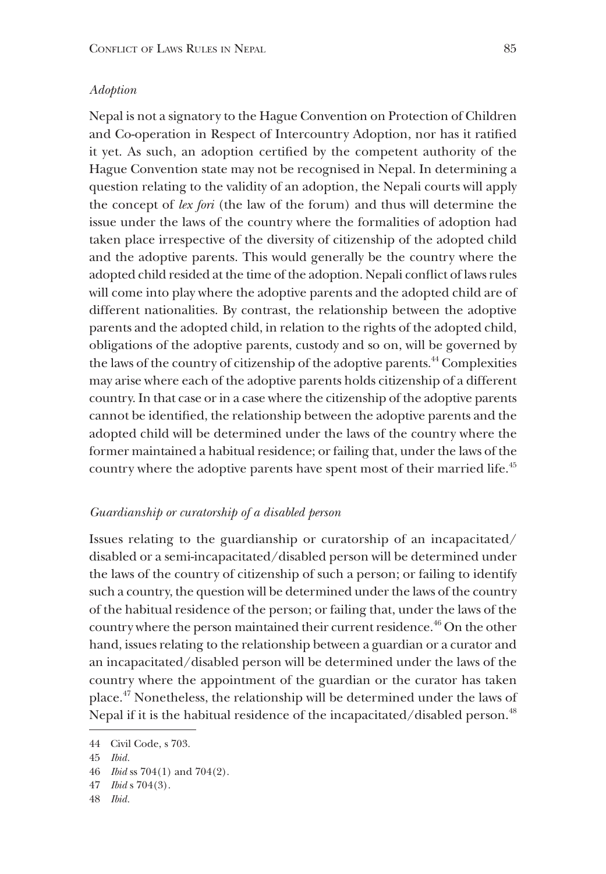#### *Adoption*

Nepal is not a signatory to the Hague Convention on Protection of Children and Co-operation in Respect of Intercountry Adoption, nor has it ratified it yet. As such, an adoption certified by the competent authority of the Hague Convention state may not be recognised in Nepal. In determining a question relating to the validity of an adoption, the Nepali courts will apply the concept of *lex fori* (the law of the forum) and thus will determine the issue under the laws of the country where the formalities of adoption had taken place irrespective of the diversity of citizenship of the adopted child and the adoptive parents. This would generally be the country where the adopted child resided at the time of the adoption. Nepali conflict of laws rules will come into play where the adoptive parents and the adopted child are of different nationalities. By contrast, the relationship between the adoptive parents and the adopted child, in relation to the rights of the adopted child, obligations of the adoptive parents, custody and so on, will be governed by the laws of the country of citizenship of the adoptive parents.<sup>44</sup> Complexities may arise where each of the adoptive parents holds citizenship of a different country. In that case or in a case where the citizenship of the adoptive parents cannot be identified, the relationship between the adoptive parents and the adopted child will be determined under the laws of the country where the former maintained a habitual residence; or failing that, under the laws of the country where the adoptive parents have spent most of their married life.<sup>45</sup>

#### *Guardianship or curatorship of a disabled person*

Issues relating to the guardianship or curatorship of an incapacitated/ disabled or a semi-incapacitated/disabled person will be determined under the laws of the country of citizenship of such a person; or failing to identify such a country, the question will be determined under the laws of the country of the habitual residence of the person; or failing that, under the laws of the country where the person maintained their current residence.<sup>46</sup> On the other hand, issues relating to the relationship between a guardian or a curator and an incapacitated/disabled person will be determined under the laws of the country where the appointment of the guardian or the curator has taken place.47 Nonetheless, the relationship will be determined under the laws of Nepal if it is the habitual residence of the incapacitated/disabled person.<sup>48</sup>

<sup>44</sup> Civil Code, s 703.

<sup>45</sup> *Ibid.*

<sup>46</sup> *Ibid* ss 704(1) and 704(2).

<sup>47</sup> *Ibid* s 704(3).

<sup>48</sup> *Ibid.*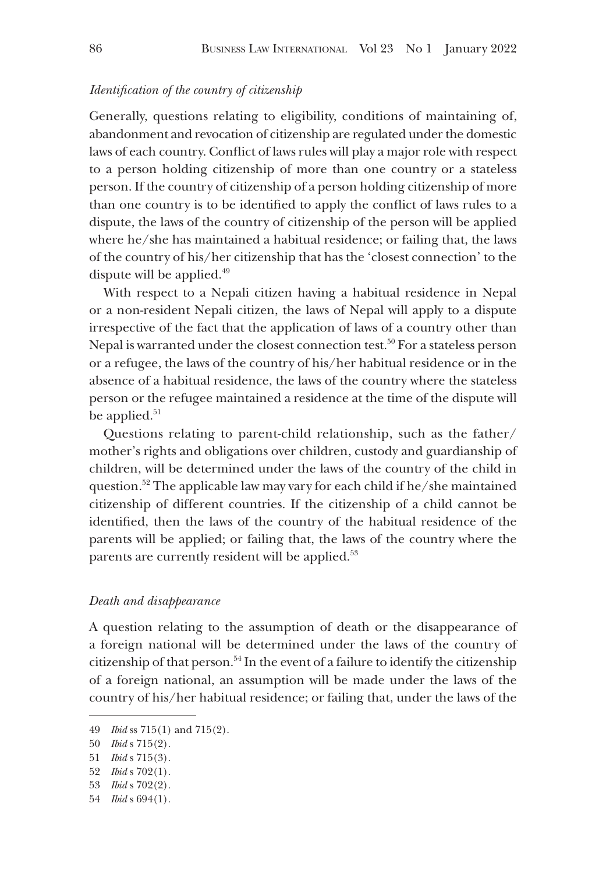# *Identification of the country of citizenship*

Generally, questions relating to eligibility, conditions of maintaining of, abandonment and revocation of citizenship are regulated under the domestic laws of each country. Conflict of laws rules will play a major role with respect to a person holding citizenship of more than one country or a stateless person. If the country of citizenship of a person holding citizenship of more than one country is to be identified to apply the conflict of laws rules to a dispute, the laws of the country of citizenship of the person will be applied where he/she has maintained a habitual residence; or failing that, the laws of the country of his/her citizenship that has the 'closest connection' to the dispute will be applied. $49$ 

With respect to a Nepali citizen having a habitual residence in Nepal or a non-resident Nepali citizen, the laws of Nepal will apply to a dispute irrespective of the fact that the application of laws of a country other than Nepal is warranted under the closest connection test.<sup>50</sup> For a stateless person or a refugee, the laws of the country of his/her habitual residence or in the absence of a habitual residence, the laws of the country where the stateless person or the refugee maintained a residence at the time of the dispute will be applied. $51$ 

Questions relating to parent-child relationship, such as the father/ mother's rights and obligations over children, custody and guardianship of children, will be determined under the laws of the country of the child in question.<sup>52</sup> The applicable law may vary for each child if he/she maintained citizenship of different countries. If the citizenship of a child cannot be identified, then the laws of the country of the habitual residence of the parents will be applied; or failing that, the laws of the country where the parents are currently resident will be applied.<sup>53</sup>

#### *Death and disappearance*

A question relating to the assumption of death or the disappearance of a foreign national will be determined under the laws of the country of citizenship of that person.54 In the event of a failure to identify the citizenship of a foreign national, an assumption will be made under the laws of the country of his/her habitual residence; or failing that, under the laws of the

<sup>49</sup> *Ibid* ss 715(1) and 715(2).

<sup>50</sup> *Ibid* s 715(2).

<sup>51</sup> *Ibid* s 715(3).

<sup>52</sup> *Ibid* s 702(1).

<sup>53</sup> *Ibid* s 702(2).

<sup>54</sup> *Ibid* s 694(1).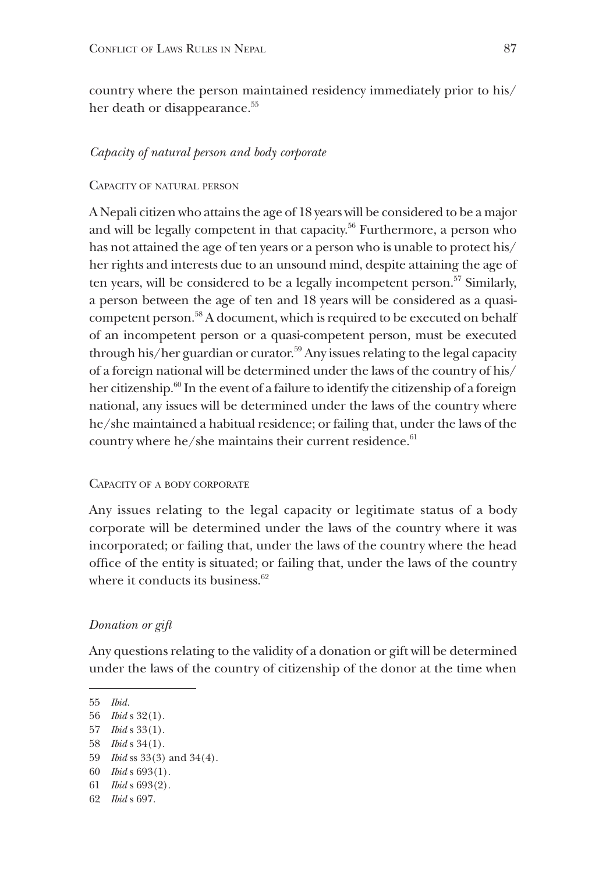country where the person maintained residency immediately prior to his/ her death or disappearance.<sup>55</sup>

#### *Capacity of natural person and body corporate*

#### Capacity of natural person

A Nepali citizen who attains the age of 18 years will be considered to be a major and will be legally competent in that capacity.<sup>56</sup> Furthermore, a person who has not attained the age of ten years or a person who is unable to protect his/ her rights and interests due to an unsound mind, despite attaining the age of ten years, will be considered to be a legally incompetent person.<sup>57</sup> Similarly, a person between the age of ten and 18 years will be considered as a quasicompetent person.58 A document, which is required to be executed on behalf of an incompetent person or a quasi-competent person, must be executed through his/her guardian or curator.<sup>59</sup> Any issues relating to the legal capacity of a foreign national will be determined under the laws of the country of his/ her citizenship.<sup>60</sup> In the event of a failure to identify the citizenship of a foreign national, any issues will be determined under the laws of the country where he/she maintained a habitual residence; or failing that, under the laws of the country where he/she maintains their current residence. $61$ 

## Capacity of a body corporate

Any issues relating to the legal capacity or legitimate status of a body corporate will be determined under the laws of the country where it was incorporated; or failing that, under the laws of the country where the head office of the entity is situated; or failing that, under the laws of the country where it conducts its business.<sup>62</sup>

# *Donation or gift*

Any questions relating to the validity of a donation or gift will be determined under the laws of the country of citizenship of the donor at the time when

57 *Ibid* s 33(1).

<sup>55</sup> *Ibid.*

<sup>56</sup> *Ibid* s 32(1).

<sup>58</sup> *Ibid* s 34(1).

<sup>59</sup> *Ibid* ss 33(3) and 34(4).

<sup>60</sup> *Ibid* s 693(1).

<sup>61</sup> *Ibid* s 693(2).

<sup>62</sup> *Ibid* s 697.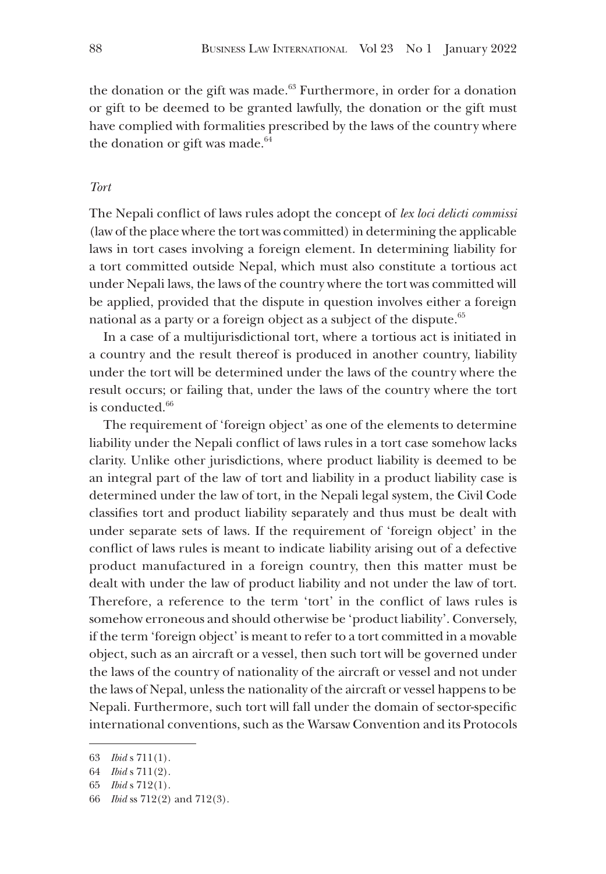the donation or the gift was made. $63$  Furthermore, in order for a donation or gift to be deemed to be granted lawfully, the donation or the gift must have complied with formalities prescribed by the laws of the country where the donation or gift was made. $64$ 

# *Tort*

The Nepali conflict of laws rules adopt the concept of *lex loci delicti commissi* (law of the place where the tort was committed) in determining the applicable laws in tort cases involving a foreign element. In determining liability for a tort committed outside Nepal, which must also constitute a tortious act under Nepali laws, the laws of the country where the tort was committed will be applied, provided that the dispute in question involves either a foreign national as a party or a foreign object as a subject of the dispute.<sup>65</sup>

In a case of a multijurisdictional tort, where a tortious act is initiated in a country and the result thereof is produced in another country, liability under the tort will be determined under the laws of the country where the result occurs; or failing that, under the laws of the country where the tort is conducted.<sup>66</sup>

The requirement of 'foreign object' as one of the elements to determine liability under the Nepali conflict of laws rules in a tort case somehow lacks clarity. Unlike other jurisdictions, where product liability is deemed to be an integral part of the law of tort and liability in a product liability case is determined under the law of tort, in the Nepali legal system, the Civil Code classifies tort and product liability separately and thus must be dealt with under separate sets of laws. If the requirement of 'foreign object' in the conflict of laws rules is meant to indicate liability arising out of a defective product manufactured in a foreign country, then this matter must be dealt with under the law of product liability and not under the law of tort. Therefore, a reference to the term 'tort' in the conflict of laws rules is somehow erroneous and should otherwise be 'product liability'. Conversely, if the term 'foreign object' is meant to refer to a tort committed in a movable object, such as an aircraft or a vessel, then such tort will be governed under the laws of the country of nationality of the aircraft or vessel and not under the laws of Nepal, unless the nationality of the aircraft or vessel happens to be Nepali. Furthermore, such tort will fall under the domain of sector-specific international conventions, such as the Warsaw Convention and its Protocols

<sup>63</sup> *Ibid* s 711(1).

<sup>64</sup> *Ibid* s 711(2).

<sup>65</sup> *Ibid* s 712(1).

<sup>66</sup> *Ibid* ss 712(2) and 712(3).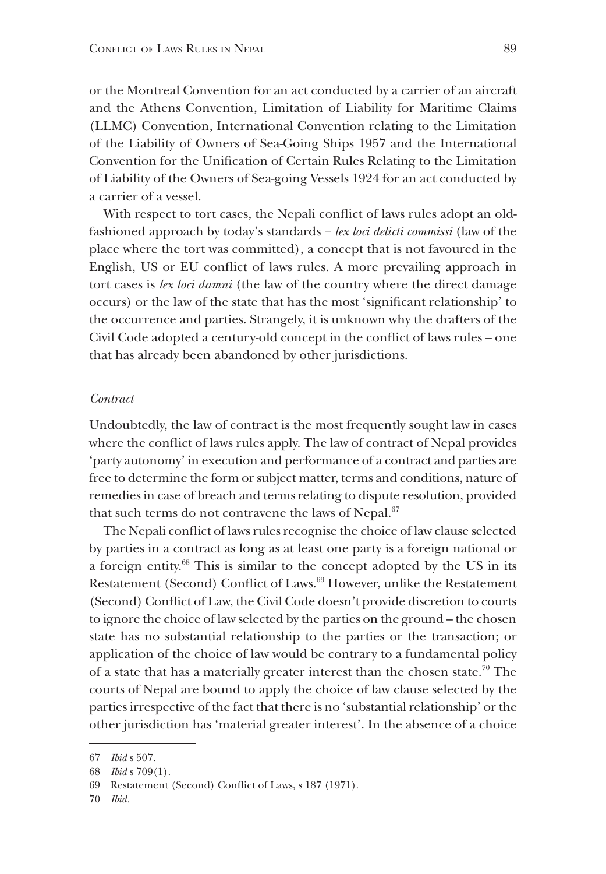or the Montreal Convention for an act conducted by a carrier of an aircraft and the Athens Convention, Limitation of Liability for Maritime Claims (LLMC) Convention, International Convention relating to the Limitation of the Liability of Owners of Sea-Going Ships 1957 and the International Convention for the Unification of Certain Rules Relating to the Limitation of Liability of the Owners of Sea-going Vessels 1924 for an act conducted by a carrier of a vessel.

With respect to tort cases, the Nepali conflict of laws rules adopt an oldfashioned approach by today's standards − *lex loci delicti commissi* (law of the place where the tort was committed), a concept that is not favoured in the English, US or EU conflict of laws rules. A more prevailing approach in tort cases is *lex loci damni* (the law of the country where the direct damage occurs) or the law of the state that has the most 'significant relationship' to the occurrence and parties. Strangely, it is unknown why the drafters of the Civil Code adopted a century-old concept in the conflict of laws rules – one that has already been abandoned by other jurisdictions.

#### *Contract*

Undoubtedly, the law of contract is the most frequently sought law in cases where the conflict of laws rules apply. The law of contract of Nepal provides 'party autonomy' in execution and performance of a contract and parties are free to determine the form or subject matter, terms and conditions, nature of remedies in case of breach and terms relating to dispute resolution, provided that such terms do not contravene the laws of Nepal.<sup>67</sup>

The Nepali conflict of laws rules recognise the choice of law clause selected by parties in a contract as long as at least one party is a foreign national or a foreign entity.68 This is similar to the concept adopted by the US in its Restatement (Second) Conflict of Laws.<sup>69</sup> However, unlike the Restatement (Second) Conflict of Law, the Civil Code doesn't provide discretion to courts to ignore the choice of law selected by the parties on the ground – the chosen state has no substantial relationship to the parties or the transaction; or application of the choice of law would be contrary to a fundamental policy of a state that has a materially greater interest than the chosen state.<sup>70</sup> The courts of Nepal are bound to apply the choice of law clause selected by the parties irrespective of the fact that there is no 'substantial relationship' or the other jurisdiction has 'material greater interest'. In the absence of a choice

<sup>67</sup> *Ibid* s 507.

<sup>68</sup> *Ibid* s 709(1).

<sup>69</sup> Restatement (Second) Conflict of Laws, s 187 (1971).

<sup>70</sup> *Ibid.*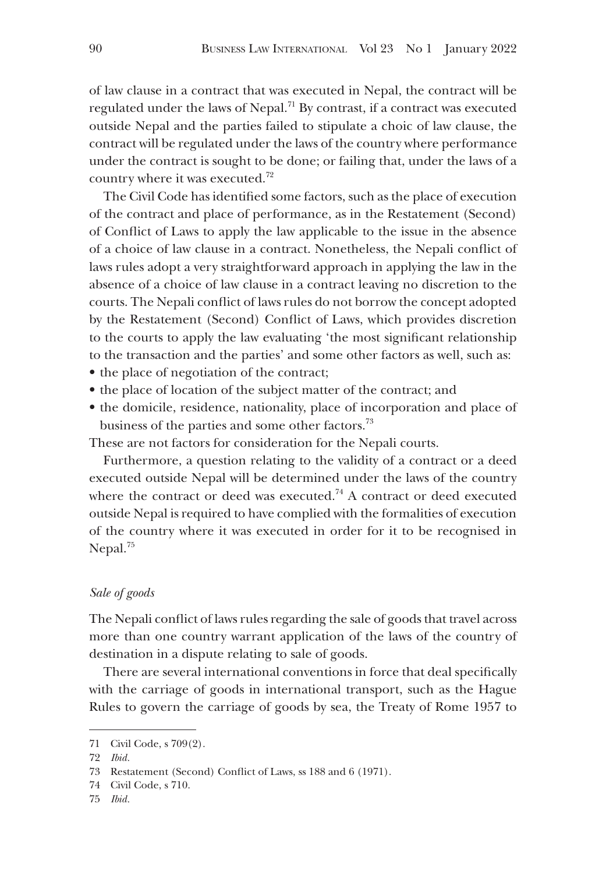of law clause in a contract that was executed in Nepal, the contract will be regulated under the laws of Nepal.<sup>71</sup> By contrast, if a contract was executed outside Nepal and the parties failed to stipulate a choic of law clause, the contract will be regulated under the laws of the country where performance under the contract is sought to be done; or failing that, under the laws of a country where it was executed.72

The Civil Code has identified some factors, such as the place of execution of the contract and place of performance, as in the Restatement (Second) of Conflict of Laws to apply the law applicable to the issue in the absence of a choice of law clause in a contract. Nonetheless, the Nepali conflict of laws rules adopt a very straightforward approach in applying the law in the absence of a choice of law clause in a contract leaving no discretion to the courts. The Nepali conflict of laws rules do not borrow the concept adopted by the Restatement (Second) Conflict of Laws, which provides discretion to the courts to apply the law evaluating 'the most significant relationship to the transaction and the parties' and some other factors as well, such as:

- the place of negotiation of the contract;
- the place of location of the subject matter of the contract; and
- the domicile, residence, nationality, place of incorporation and place of business of the parties and some other factors.<sup>73</sup>

These are not factors for consideration for the Nepali courts.

Furthermore, a question relating to the validity of a contract or a deed executed outside Nepal will be determined under the laws of the country where the contract or deed was executed.<sup>74</sup> A contract or deed executed outside Nepal is required to have complied with the formalities of execution of the country where it was executed in order for it to be recognised in Nepal.<sup>75</sup>

# *Sale of goods*

The Nepali conflict of laws rules regarding the sale of goods that travel across more than one country warrant application of the laws of the country of destination in a dispute relating to sale of goods.

There are several international conventions in force that deal specifically with the carriage of goods in international transport, such as the Hague Rules to govern the carriage of goods by sea, the Treaty of Rome 1957 to

<sup>71</sup> Civil Code, s 709(2).

<sup>72</sup> *Ibid.*

<sup>73</sup> Restatement (Second) Conflict of Laws, ss 188 and 6 (1971).

<sup>74</sup> Civil Code, s 710.

<sup>75</sup> *Ibid.*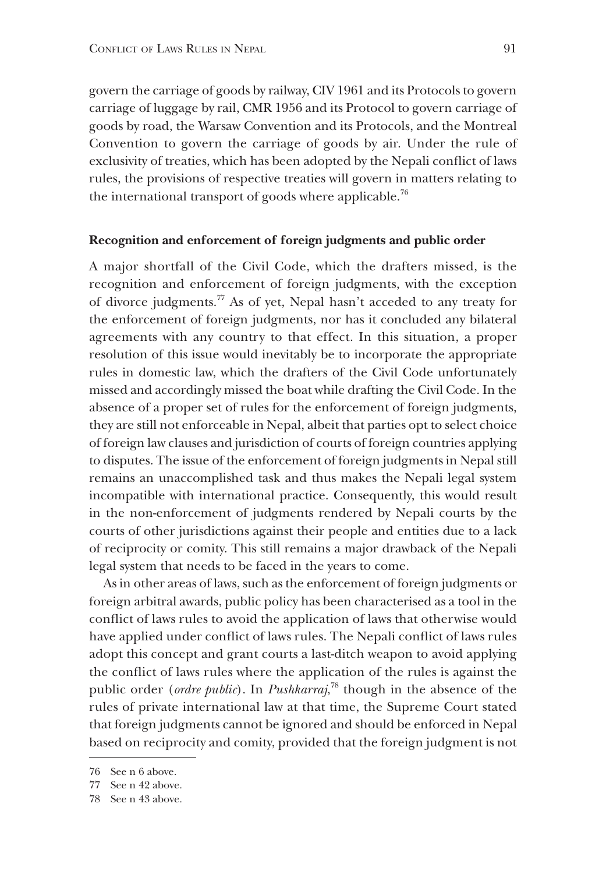govern the carriage of goods by railway, CIV 1961 and its Protocols to govern carriage of luggage by rail, CMR 1956 and its Protocol to govern carriage of goods by road, the Warsaw Convention and its Protocols, and the Montreal Convention to govern the carriage of goods by air. Under the rule of exclusivity of treaties, which has been adopted by the Nepali conflict of laws rules, the provisions of respective treaties will govern in matters relating to the international transport of goods where applicable.<sup>76</sup>

#### **Recognition and enforcement of foreign judgments and public order**

A major shortfall of the Civil Code, which the drafters missed, is the recognition and enforcement of foreign judgments, with the exception of divorce judgments.77 As of yet, Nepal hasn't acceded to any treaty for the enforcement of foreign judgments, nor has it concluded any bilateral agreements with any country to that effect. In this situation, a proper resolution of this issue would inevitably be to incorporate the appropriate rules in domestic law, which the drafters of the Civil Code unfortunately missed and accordingly missed the boat while drafting the Civil Code. In the absence of a proper set of rules for the enforcement of foreign judgments, they are still not enforceable in Nepal, albeit that parties opt to select choice of foreign law clauses and jurisdiction of courts of foreign countries applying to disputes. The issue of the enforcement of foreign judgments in Nepal still remains an unaccomplished task and thus makes the Nepali legal system incompatible with international practice. Consequently, this would result in the non-enforcement of judgments rendered by Nepali courts by the courts of other jurisdictions against their people and entities due to a lack of reciprocity or comity. This still remains a major drawback of the Nepali legal system that needs to be faced in the years to come.

As in other areas of laws, such as the enforcement of foreign judgments or foreign arbitral awards, public policy has been characterised as a tool in the conflict of laws rules to avoid the application of laws that otherwise would have applied under conflict of laws rules. The Nepali conflict of laws rules adopt this concept and grant courts a last-ditch weapon to avoid applying the conflict of laws rules where the application of the rules is against the public order (*ordre public*). In *Pushkarraj*, 78 though in the absence of the rules of private international law at that time, the Supreme Court stated that foreign judgments cannot be ignored and should be enforced in Nepal based on reciprocity and comity, provided that the foreign judgment is not

<sup>76</sup> See n 6 above.

<sup>77</sup> See n 42 above.

<sup>78</sup> See n 43 above.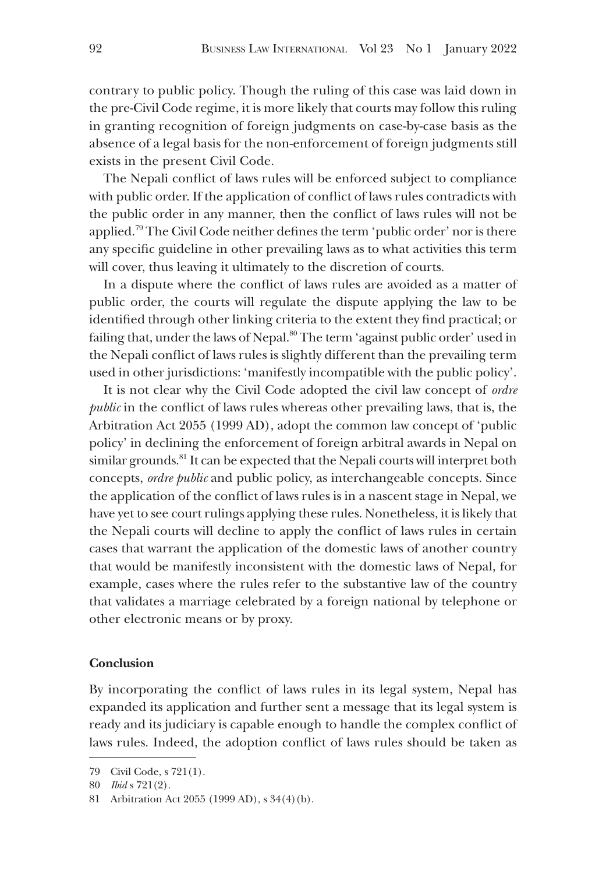contrary to public policy. Though the ruling of this case was laid down in the pre-Civil Code regime, it is more likely that courts may follow this ruling in granting recognition of foreign judgments on case-by-case basis as the absence of a legal basis for the non-enforcement of foreign judgments still exists in the present Civil Code.

The Nepali conflict of laws rules will be enforced subject to compliance with public order. If the application of conflict of laws rules contradicts with the public order in any manner, then the conflict of laws rules will not be applied.79 The Civil Code neither defines the term 'public order' nor is there any specific guideline in other prevailing laws as to what activities this term will cover, thus leaving it ultimately to the discretion of courts.

In a dispute where the conflict of laws rules are avoided as a matter of public order, the courts will regulate the dispute applying the law to be identified through other linking criteria to the extent they find practical; or failing that, under the laws of Nepal.<sup>80</sup> The term 'against public order' used in the Nepali conflict of laws rules is slightly different than the prevailing term used in other jurisdictions: 'manifestly incompatible with the public policy'.

It is not clear why the Civil Code adopted the civil law concept of *ordre public* in the conflict of laws rules whereas other prevailing laws, that is, the Arbitration Act 2055 (1999 AD), adopt the common law concept of 'public policy' in declining the enforcement of foreign arbitral awards in Nepal on similar grounds.<sup>81</sup> It can be expected that the Nepali courts will interpret both concepts, *ordre public* and public policy, as interchangeable concepts. Since the application of the conflict of laws rules is in a nascent stage in Nepal, we have yet to see court rulings applying these rules. Nonetheless, it is likely that the Nepali courts will decline to apply the conflict of laws rules in certain cases that warrant the application of the domestic laws of another country that would be manifestly inconsistent with the domestic laws of Nepal, for example, cases where the rules refer to the substantive law of the country that validates a marriage celebrated by a foreign national by telephone or other electronic means or by proxy.

#### **Conclusion**

By incorporating the conflict of laws rules in its legal system, Nepal has expanded its application and further sent a message that its legal system is ready and its judiciary is capable enough to handle the complex conflict of laws rules. Indeed, the adoption conflict of laws rules should be taken as

<sup>79</sup> Civil Code, s 721(1).

<sup>80</sup> *Ibid* s 721(2).

<sup>81</sup> Arbitration Act 2055 (1999 AD), s 34(4)(b).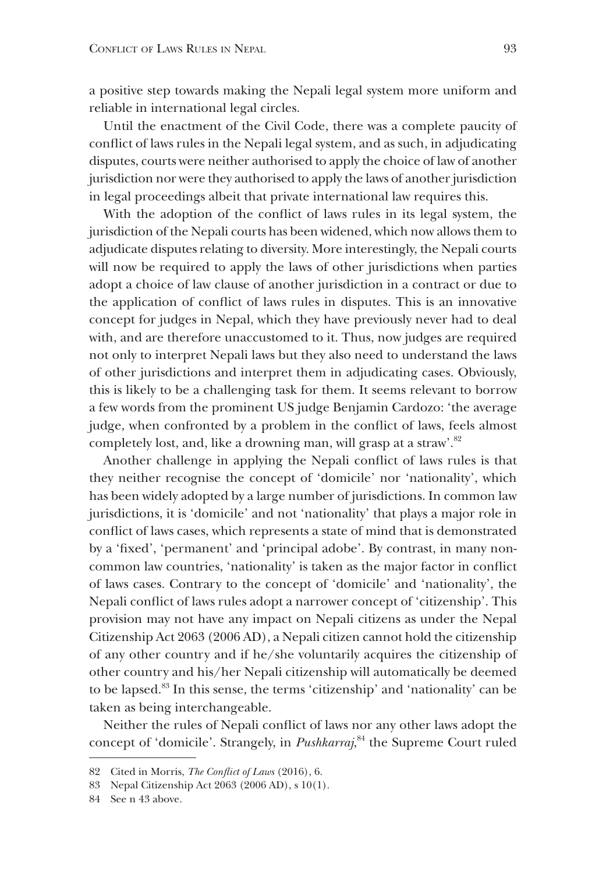a positive step towards making the Nepali legal system more uniform and reliable in international legal circles.

Until the enactment of the Civil Code, there was a complete paucity of conflict of laws rules in the Nepali legal system, and as such, in adjudicating disputes, courts were neither authorised to apply the choice of law of another jurisdiction nor were they authorised to apply the laws of another jurisdiction in legal proceedings albeit that private international law requires this.

With the adoption of the conflict of laws rules in its legal system, the jurisdiction of the Nepali courts has been widened, which now allows them to adjudicate disputes relating to diversity. More interestingly, the Nepali courts will now be required to apply the laws of other jurisdictions when parties adopt a choice of law clause of another jurisdiction in a contract or due to the application of conflict of laws rules in disputes. This is an innovative concept for judges in Nepal, which they have previously never had to deal with, and are therefore unaccustomed to it. Thus, now judges are required not only to interpret Nepali laws but they also need to understand the laws of other jurisdictions and interpret them in adjudicating cases. Obviously, this is likely to be a challenging task for them. It seems relevant to borrow a few words from the prominent US judge Benjamin Cardozo: 'the average judge, when confronted by a problem in the conflict of laws, feels almost completely lost, and, like a drowning man, will grasp at a straw'.<sup>82</sup>

Another challenge in applying the Nepali conflict of laws rules is that they neither recognise the concept of 'domicile' nor 'nationality', which has been widely adopted by a large number of jurisdictions. In common law jurisdictions, it is 'domicile' and not 'nationality' that plays a major role in conflict of laws cases, which represents a state of mind that is demonstrated by a 'fixed', 'permanent' and 'principal adobe'. By contrast, in many noncommon law countries, 'nationality' is taken as the major factor in conflict of laws cases. Contrary to the concept of 'domicile' and 'nationality', the Nepali conflict of laws rules adopt a narrower concept of 'citizenship'. This provision may not have any impact on Nepali citizens as under the Nepal Citizenship Act 2063 (2006 AD), a Nepali citizen cannot hold the citizenship of any other country and if he/she voluntarily acquires the citizenship of other country and his/her Nepali citizenship will automatically be deemed to be lapsed.83 In this sense, the terms 'citizenship' and 'nationality' can be taken as being interchangeable.

Neither the rules of Nepali conflict of laws nor any other laws adopt the concept of 'domicile'. Strangely, in *Pushkarraj*, 84 the Supreme Court ruled

<sup>82</sup> Cited in Morris, *The Conflict of Laws* (2016), 6.

<sup>83</sup> Nepal Citizenship Act 2063 (2006 AD), s 10(1).

<sup>84</sup> See n 43 above.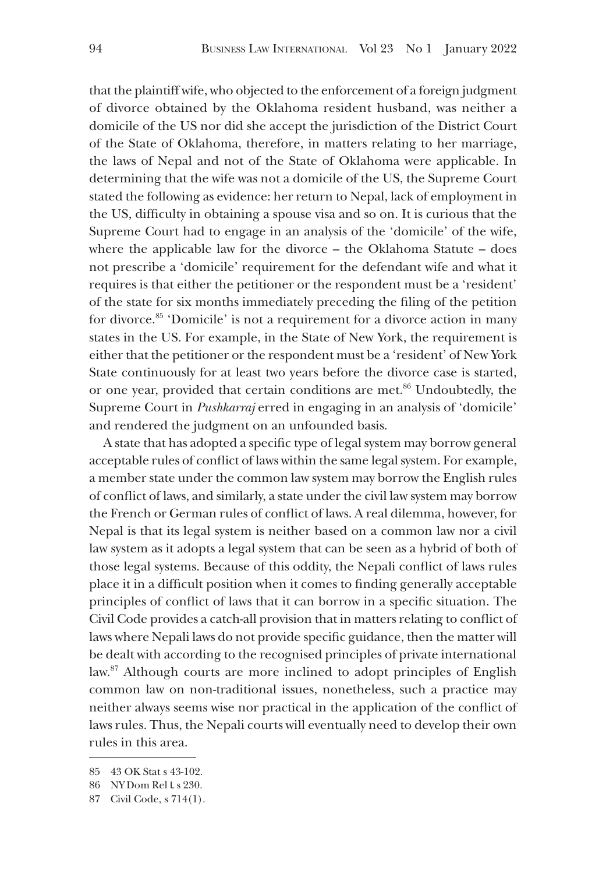that the plaintiff wife, who objected to the enforcement of a foreign judgment of divorce obtained by the Oklahoma resident husband, was neither a domicile of the US nor did she accept the jurisdiction of the District Court of the State of Oklahoma, therefore, in matters relating to her marriage, the laws of Nepal and not of the State of Oklahoma were applicable. In determining that the wife was not a domicile of the US, the Supreme Court stated the following as evidence: her return to Nepal, lack of employment in the US, difficulty in obtaining a spouse visa and so on. It is curious that the Supreme Court had to engage in an analysis of the 'domicile' of the wife, where the applicable law for the divorce – the Oklahoma Statute – does not prescribe a 'domicile' requirement for the defendant wife and what it requires is that either the petitioner or the respondent must be a 'resident' of the state for six months immediately preceding the filing of the petition for divorce.<sup>85</sup> 'Domicile' is not a requirement for a divorce action in many states in the US. For example, in the State of New York, the requirement is either that the petitioner or the respondent must be a 'resident' of New York State continuously for at least two years before the divorce case is started, or one year, provided that certain conditions are met.<sup>86</sup> Undoubtedly, the Supreme Court in *Pushkarraj* erred in engaging in an analysis of 'domicile' and rendered the judgment on an unfounded basis.

A state that has adopted a specific type of legal system may borrow general acceptable rules of conflict of laws within the same legal system. For example, a member state under the common law system may borrow the English rules of conflict of laws, and similarly, a state under the civil law system may borrow the French or German rules of conflict of laws. A real dilemma, however, for Nepal is that its legal system is neither based on a common law nor a civil law system as it adopts a legal system that can be seen as a hybrid of both of those legal systems. Because of this oddity, the Nepali conflict of laws rules place it in a difficult position when it comes to finding generally acceptable principles of conflict of laws that it can borrow in a specific situation. The Civil Code provides a catch-all provision that in matters relating to conflict of laws where Nepali laws do not provide specific guidance, then the matter will be dealt with according to the recognised principles of private international law.<sup>87</sup> Although courts are more inclined to adopt principles of English common law on non-traditional issues, nonetheless, such a practice may neither always seems wise nor practical in the application of the conflict of laws rules. Thus, the Nepali courts will eventually need to develop their own rules in this area.

<sup>85</sup> 43 OK Stat s 43-102.

<sup>86</sup> NY Dom Rel L s 230.

<sup>87</sup> Civil Code, s 714(1).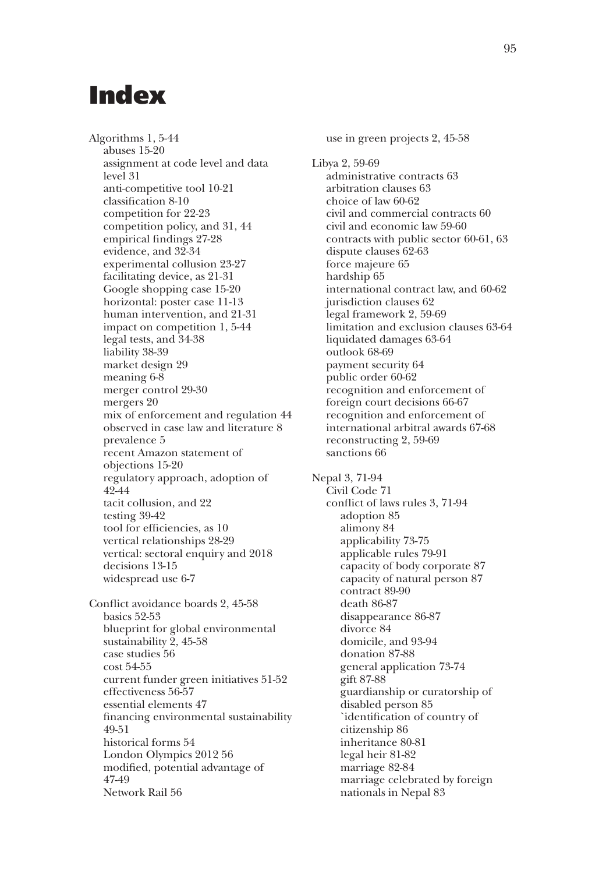# Index

Algorithms 1, 5-44 abuses 15-20 assignment at code level and data level 31 anti-competitive tool 10-21 classification 8-10 competition for 22-23 competition policy, and 31, 44 empirical findings 27-28 evidence, and 32-34 experimental collusion 23-27 facilitating device, as 21-31 Google shopping case 15-20 horizontal: poster case 11-13 human intervention, and 21-31 impact on competition 1, 5-44 legal tests, and 34-38 liability 38-39 market design 29 meaning 6-8 merger control 29-30 mergers 20 mix of enforcement and regulation 44 observed in case law and literature 8 prevalence 5 recent Amazon statement of objections 15-20 regulatory approach, adoption of 42-44 tacit collusion, and 22 testing 39-42 tool for efficiencies, as 10 vertical relationships 28-29 vertical: sectoral enquiry and 2018 decisions 13-15 widespread use 6-7 Conflict avoidance boards 2, 45-58 basics 52-53

blueprint for global environmental sustainability 2, 45-58 case studies 56 cost 54-55 current funder green initiatives 51-52 effectiveness 56-57 essential elements 47 financing environmental sustainability 49-51 historical forms 54 London Olympics 2012 56 modified, potential advantage of 47-49 Network Rail 56

use in green projects 2, 45-58 Libya 2, 59-69 administrative contracts 63 arbitration clauses 63 choice of law 60-62 civil and commercial contracts 60 civil and economic law 59-60 contracts with public sector 60-61, 63 dispute clauses 62-63 force majeure 65 hardship 65 international contract law, and 60-62 jurisdiction clauses 62 legal framework 2, 59-69 limitation and exclusion clauses 63-64 liquidated damages 63-64 outlook 68-69 payment security 64 public order 60-62 recognition and enforcement of foreign court decisions 66-67 recognition and enforcement of international arbitral awards 67-68 reconstructing 2, 59-69 sanctions 66 Nepal 3, 71-94 Civil Code 71 conflict of laws rules 3, 71-94 adoption 85 alimony 84 applicability 73-75 applicable rules 79-91 capacity of body corporate 87 capacity of natural person 87 contract 89-90 death 86-87 disappearance 86-87 divorce 84 domicile, and 93-94 donation 87-88 general application 73-74 gift 87-88 guardianship or curatorship of disabled person 85 `identification of country of citizenship 86 inheritance 80-81 legal heir 81-82 marriage 82-84 marriage celebrated by foreign

nationals in Nepal 83